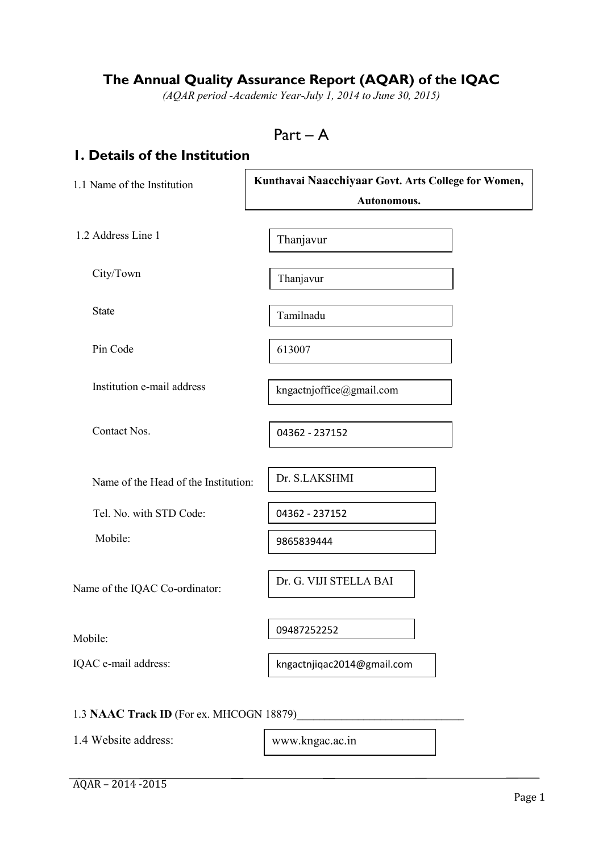# **The Annual Quality Assurance Report (AQAR) of the IQAC**

*(AQAR period -Academic Year-July 1, 2014 to June 30, 2015)*

# **1. Details of the Institution**

| 1.1 Name of the Institution          | Kunthavai Naacchiyaar Govt. Arts College for Women,<br>Autonomous. |  |  |  |
|--------------------------------------|--------------------------------------------------------------------|--|--|--|
| 1.2 Address Line 1                   | Thanjavur                                                          |  |  |  |
| City/Town                            | Thanjavur                                                          |  |  |  |
| <b>State</b>                         | Tamilnadu                                                          |  |  |  |
| Pin Code                             | 613007                                                             |  |  |  |
| Institution e-mail address           | kngactnjoffice@gmail.com                                           |  |  |  |
| Contact Nos.                         | 04362 - 237152                                                     |  |  |  |
| Name of the Head of the Institution: | Dr. S.LAKSHMI                                                      |  |  |  |
| Tel. No. with STD Code:              | 04362 - 237152                                                     |  |  |  |
| Mobile:                              | 9865839444                                                         |  |  |  |
| Name of the IQAC Co-ordinator:       | Dr. G. VIJI STELLA BAI                                             |  |  |  |
| Mobile:                              | 09487252252                                                        |  |  |  |
| IQAC e-mail address:                 | kngactnjiqac2014@gmail.com                                         |  |  |  |

1.4 Website address:

www.kngac.ac.in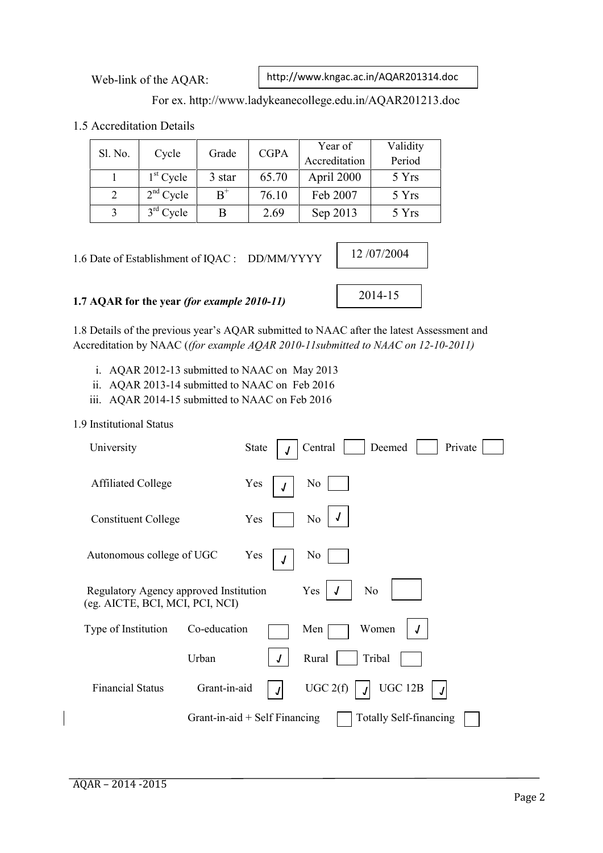Web-link of the AQAR:

http://www.kngac.ac.in/AQAR201314.doc

## For ex. http://www.ladykeanecollege.edu.in/AQAR201213.doc

1.5 Accreditation Details

| Sl. No. | Cycle       | Grade  | <b>CGPA</b> | Year of<br>Accreditation | Validity<br>Period |
|---------|-------------|--------|-------------|--------------------------|--------------------|
|         | $1st$ Cycle | 3 star | 65.70       | April 2000               | 5 Yrs              |
|         | $2nd$ Cycle | $B^+$  | 76.10       | Feb 2007                 | 5 Yrs              |
|         | $3rd$ Cycle |        | 2.69        | Sep 2013                 | 5 Yrs              |

1.6 Date of Establishment of IQAC : DD/MM/YYYY

## **1.7 AQAR for the year** *(for example 2010-11)*

1.8 Details of the previous year's AQAR submitted to NAAC after the latest Assessment and Accreditation by NAAC (*(for example AQAR 2010-11submitted to NAAC on 12-10-2011)*

- i. AQAR 2012-13 submitted to NAAC on May 2013
- ii. AQAR 2013-14 submitted to NAAC on Feb 2016

iii. AQAR 2014-15 submitted to NAAC on Feb 2016

#### 1.9 Institutional Status

| University                                                                |                                 | <b>State</b> | Deemed<br>Central<br>Private  |
|---------------------------------------------------------------------------|---------------------------------|--------------|-------------------------------|
| <b>Affiliated College</b>                                                 |                                 | Yes          | N <sub>0</sub>                |
| <b>Constituent College</b>                                                |                                 | Yes          | N <sub>0</sub>                |
| Autonomous college of UGC                                                 |                                 | Yes<br>J     | N <sub>0</sub>                |
| Regulatory Agency approved Institution<br>(eg. AICTE, BCI, MCI, PCI, NCI) |                                 |              | Yes<br>N <sub>0</sub>         |
| Type of Institution                                                       | Co-education                    |              | Women<br>Men                  |
|                                                                           | Urban                           | J            | Rural<br>Tribal               |
| <b>Financial Status</b>                                                   | Grant-in-aid                    |              | UGC 2(f)<br>UGC 12B           |
|                                                                           | Grant-in-aid $+$ Self Financing |              | <b>Totally Self-financing</b> |

2014-15

12 /07/2004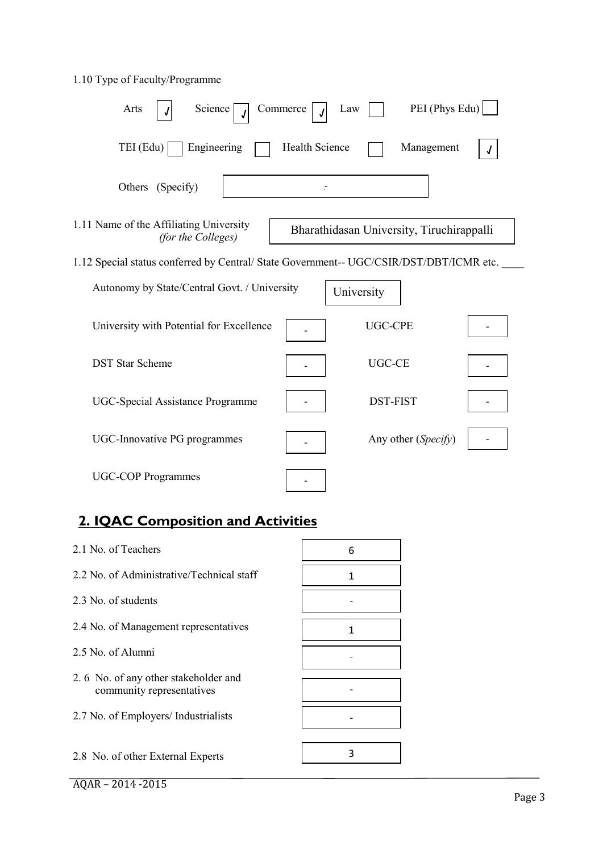# 1.10 Type of Faculty/Programme

| PEI (Phys Edu)<br>Arts<br>Science<br>Commerce<br>Law                                                       |
|------------------------------------------------------------------------------------------------------------|
| Engineering<br><b>Health Science</b><br>TEI (Edu)<br>Management                                            |
| Others (Specify)                                                                                           |
| 1.11 Name of the Affiliating University<br>Bharathidasan University, Tiruchirappalli<br>(for the Colleges) |
| 1.12 Special status conferred by Central/ State Government-- UGC/CSIR/DST/DBT/ICMR etc.                    |
| Autonomy by State/Central Govt. / University<br>University                                                 |
| <b>UGC-CPE</b><br>University with Potential for Excellence                                                 |
| <b>DST Star Scheme</b><br><b>UGC-CE</b>                                                                    |
| <b>DST-FIST</b><br><b>UGC-Special Assistance Programme</b>                                                 |
| Any other (Specify)<br>UGC-Innovative PG programmes                                                        |
| <b>UGC-COP Programmes</b>                                                                                  |

# **2. IQAC Composition and Activities**

| 2.1 No. of Teachers                                               | 6 |
|-------------------------------------------------------------------|---|
| 2.2 No. of Administrative/Technical staff                         | 1 |
| 2.3 No. of students                                               |   |
| 2.4 No. of Management representatives                             | 1 |
| 2.5 No. of Alumni                                                 |   |
|                                                                   |   |
| 2.6 No. of any other stakeholder and<br>community representatives |   |
| 2.7 No. of Employers/ Industrialists                              |   |
|                                                                   |   |
| 2.8 No. of other External Experts                                 | ς |
|                                                                   |   |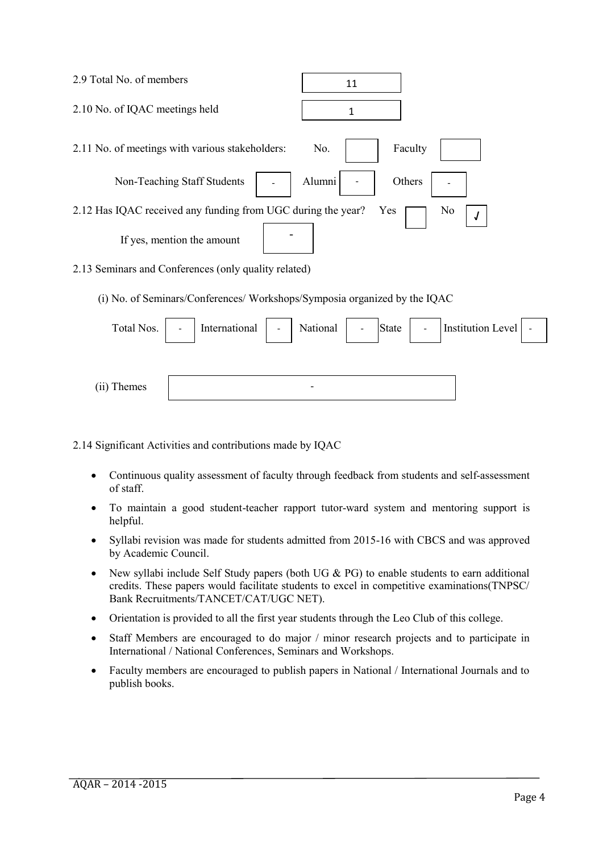| 2.9 Total No. of members                                     | 11                    |
|--------------------------------------------------------------|-----------------------|
| 2.10 No. of IQAC meetings held                               | 1                     |
| 2.11 No. of meetings with various stakeholders:              | No.<br>Faculty        |
| Non-Teaching Staff Students                                  | Alumni<br>Others      |
| 2.12 Has IQAC received any funding from UGC during the year? | Yes<br>N <sub>0</sub> |
| If yes, mention the amount                                   |                       |
| 2.13 Seminars and Conferences (only quality related)         |                       |

(i) No. of Seminars/Conferences/ Workshops/Symposia organized by the IQAC

| Total Nos.  | $\blacksquare$ | International | $\mathcal{L}^{\pm}$ | National                 | $\overline{\phantom{a}}$ | State | $\sim$ | Institution Level   - |  |
|-------------|----------------|---------------|---------------------|--------------------------|--------------------------|-------|--------|-----------------------|--|
|             |                |               |                     |                          |                          |       |        |                       |  |
| (ii) Themes |                |               |                     | $\overline{\phantom{0}}$ |                          |       |        |                       |  |

2.14 Significant Activities and contributions made by IQAC

- Continuous quality assessment of faculty through feedback from students and self-assessment of staff.
- To maintain a good student-teacher rapport tutor-ward system and mentoring support is helpful.
- Syllabi revision was made for students admitted from 2015-16 with CBCS and was approved by Academic Council.
- New syllabi include Self Study papers (both UG  $& PG$ ) to enable students to earn additional credits. These papers would facilitate students to excel in competitive examinations(TNPSC/ Bank Recruitments/TANCET/CAT/UGC NET).
- Orientation is provided to all the first year students through the Leo Club of this college.
- Staff Members are encouraged to do major / minor research projects and to participate in International / National Conferences, Seminars and Workshops.
- Faculty members are encouraged to publish papers in National / International Journals and to publish books.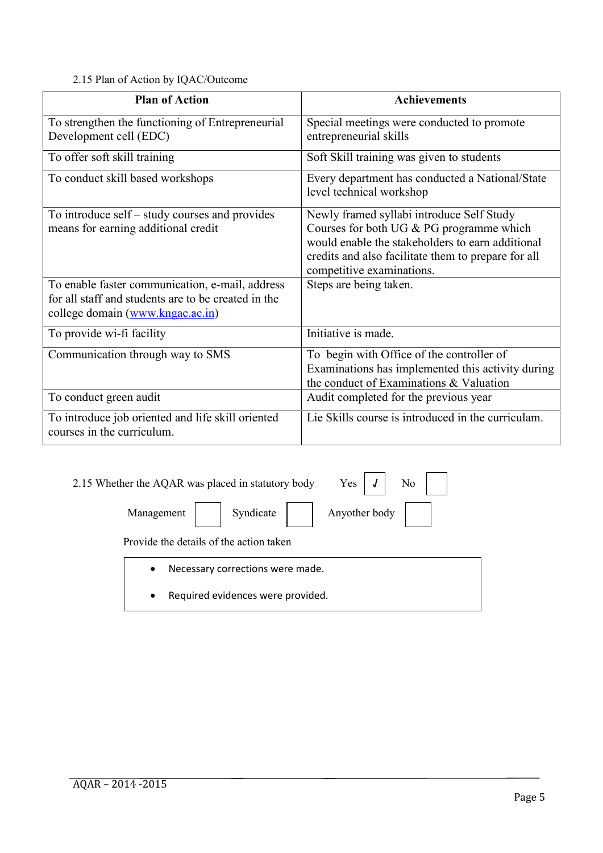2.15 Plan of Action by IQAC/Outcome

| <b>Plan of Action</b>                                                                                                                      | <b>Achievements</b>                                                                                                                                                                                                           |
|--------------------------------------------------------------------------------------------------------------------------------------------|-------------------------------------------------------------------------------------------------------------------------------------------------------------------------------------------------------------------------------|
| To strengthen the functioning of Entrepreneurial<br>Development cell (EDC)                                                                 | Special meetings were conducted to promote<br>entrepreneurial skills                                                                                                                                                          |
| To offer soft skill training                                                                                                               | Soft Skill training was given to students                                                                                                                                                                                     |
| To conduct skill based workshops                                                                                                           | Every department has conducted a National/State<br>level technical workshop                                                                                                                                                   |
| To introduce self – study courses and provides<br>means for earning additional credit                                                      | Newly framed syllabi introduce Self Study<br>Courses for both UG & PG programme which<br>would enable the stakeholders to earn additional<br>credits and also facilitate them to prepare for all<br>competitive examinations. |
| To enable faster communication, e-mail, address<br>for all staff and students are to be created in the<br>college domain (www.kngac.ac.in) | Steps are being taken.                                                                                                                                                                                                        |
| To provide wi-fi facility                                                                                                                  | Initiative is made.                                                                                                                                                                                                           |
| Communication through way to SMS                                                                                                           | To begin with Office of the controller of<br>Examinations has implemented this activity during<br>the conduct of Examinations & Valuation                                                                                     |
| To conduct green audit                                                                                                                     | Audit completed for the previous year                                                                                                                                                                                         |
| To introduce job oriented and life skill oriented<br>courses in the curriculum.                                                            | Lie Skills course is introduced in the curriculam.                                                                                                                                                                            |

| N <sub>0</sub><br>Yes<br>2.15 Whether the AQAR was placed in statutory body |                            |  |  |  |  |
|-----------------------------------------------------------------------------|----------------------------|--|--|--|--|
| Management                                                                  | Anyother body<br>Syndicate |  |  |  |  |
| Provide the details of the action taken                                     |                            |  |  |  |  |
| Necessary corrections were made.<br>$\bullet$                               |                            |  |  |  |  |
| Required evidences were provided.<br>$\bullet$                              |                            |  |  |  |  |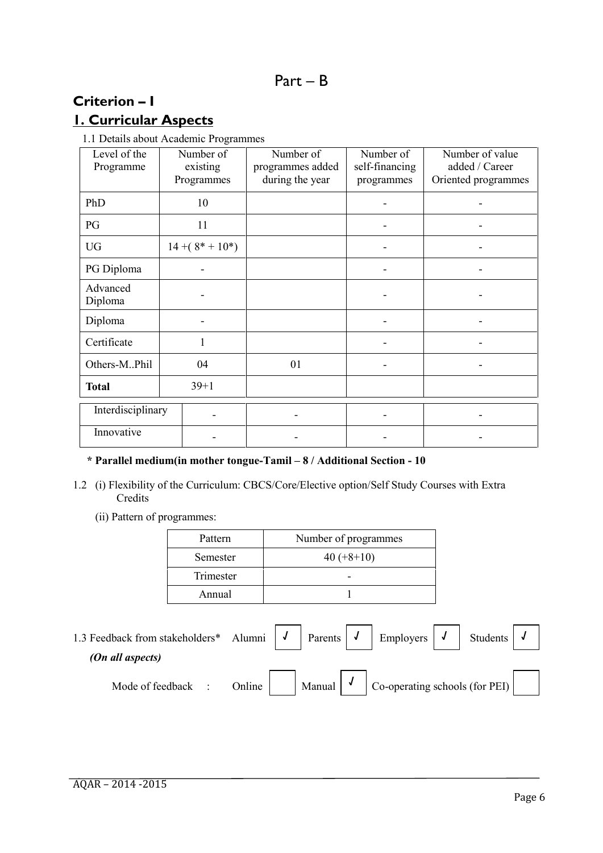# **Criterion – I**

# **1. Curricular Aspects**

1.1 Details about Academic Programmes

| Level of the<br>Programme | Number of<br>existing | Number of<br>programmes added | Number of<br>self-financing | Number of value<br>added / Career |
|---------------------------|-----------------------|-------------------------------|-----------------------------|-----------------------------------|
|                           | Programmes            | during the year               | programmes                  | Oriented programmes               |
| PhD                       | 10                    |                               |                             | $\overline{\phantom{a}}$          |
| PG                        | 11                    |                               |                             |                                   |
| <b>UG</b>                 | $14+(8*+10*)$         |                               |                             |                                   |
| PG Diploma                |                       |                               |                             |                                   |
| Advanced<br>Diploma       |                       |                               |                             |                                   |
| Diploma                   |                       |                               |                             |                                   |
| Certificate               |                       |                               |                             |                                   |
| Others-MPhil              | 04                    | 01                            |                             | $\overline{\phantom{a}}$          |
| <b>Total</b>              | $39+1$                |                               |                             |                                   |
| Interdisciplinary         |                       |                               |                             |                                   |
| Innovative                |                       |                               |                             |                                   |

#### **\* Parallel medium(in mother tongue-Tamil – 8 / Additional Section - 10**

- 1.2 (i) Flexibility of the Curriculum: CBCS/Core/Elective option/Self Study Courses with Extra Credits
	- (ii) Pattern of programmes:

| Pattern   | Number of programmes |
|-----------|----------------------|
| Semester  | $40 (+8+10)$         |
| Trimester |                      |
| Annual    |                      |

1.3 Feedback from stakeholders\* Alumni  $\begin{vmatrix} \mathbf{J} \end{vmatrix}$  Parents  $\begin{vmatrix} \mathbf{J} \end{vmatrix}$  Employers  $\begin{vmatrix} \mathbf{J} \end{vmatrix}$  Students *(On all aspects)* Mode of feedback : Online Manual  $\begin{vmatrix} 1 & 1 \end{vmatrix}$  Co-operating schools (for PEI) **√ √ √ √ √**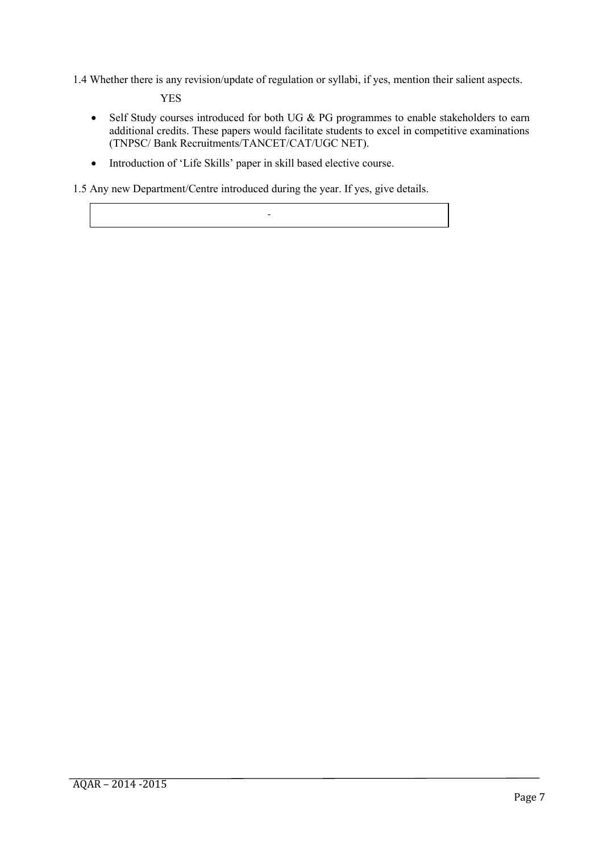1.4 Whether there is any revision/update of regulation or syllabi, if yes, mention their salient aspects.

YES

- Self Study courses introduced for both UG & PG programmes to enable stakeholders to earn additional credits. These papers would facilitate students to excel in competitive examinations (TNPSC/ Bank Recruitments/TANCET/CAT/UGC NET).
- Introduction of 'Life Skills' paper in skill based elective course.

1.5 Any new Department/Centre introduced during the year. If yes, give details.

-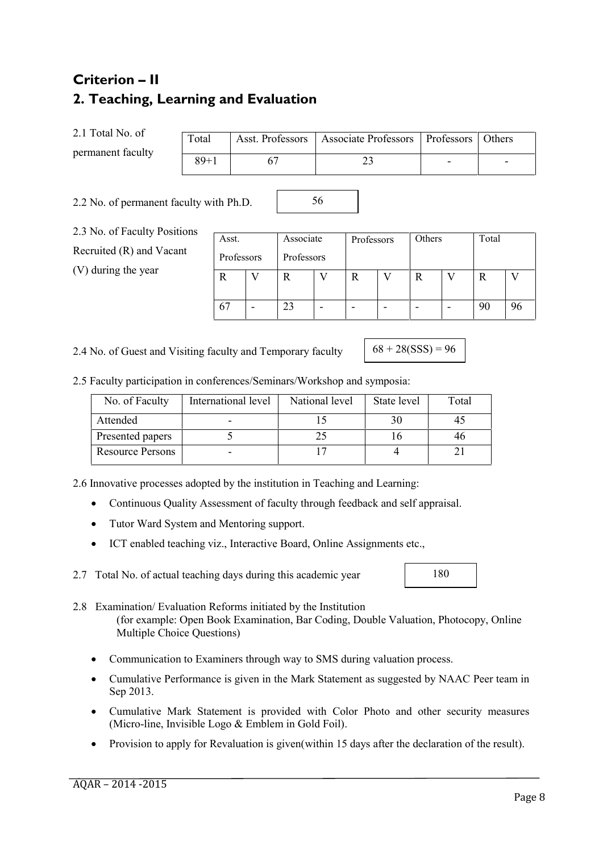# **2. Teaching, Learning and Evaluation**

2.1 Total No. of

**Criterion – II**

permanent faculty

| Total    | Asst. Professors   Associate Professors   Professors   Others |                          |  |
|----------|---------------------------------------------------------------|--------------------------|--|
| $89 + 1$ |                                                               | $\overline{\phantom{0}}$ |  |

56

2.2 No. of permanent faculty with Ph.D.

2.3 No. of Faculty Positions Recruited (R) and Vacant

(V) during the year

| Asst.      |   | Associate  |   | Professors |   | Others | Total |    |
|------------|---|------------|---|------------|---|--------|-------|----|
| Professors |   | Professors |   |            |   |        |       |    |
|            |   |            |   | R          |   | R      | R     |    |
| 67         | - | 23         | - | -          | - | -      | 90    | 96 |

2.4 No. of Guest and Visiting faculty and Temporary faculty

180

2.5 Faculty participation in conferences/Seminars/Workshop and symposia: SSS

| No. of Faculty          | International level | National level | State level | Total |
|-------------------------|---------------------|----------------|-------------|-------|
| Attended                |                     |                |             | 4.    |
| Presented papers        |                     |                |             | 40    |
| <b>Resource Persons</b> |                     |                |             |       |

2.6 Innovative processes adopted by the institution in Teaching and Learning:

- Continuous Quality Assessment of faculty through feedback and self appraisal.
- Tutor Ward System and Mentoring support.
- ICT enabled teaching viz., Interactive Board, Online Assignments etc.,

2.7 Total No. of actual teaching days during this academic year

- 2.8 Examination/ Evaluation Reforms initiated by the Institution (for example: Open Book Examination, Bar Coding, Double Valuation, Photocopy, Online Multiple Choice Questions)
	- Communication to Examiners through way to SMS during valuation process.
	- Cumulative Performance is given in the Mark Statement as suggested by NAAC Peer team in Sep 2013.
	- Cumulative Mark Statement is provided with Color Photo and other security measures (Micro-line, Invisible Logo & Emblem in Gold Foil).
	- Provision to apply for Revaluation is given(within 15 days after the declaration of the result).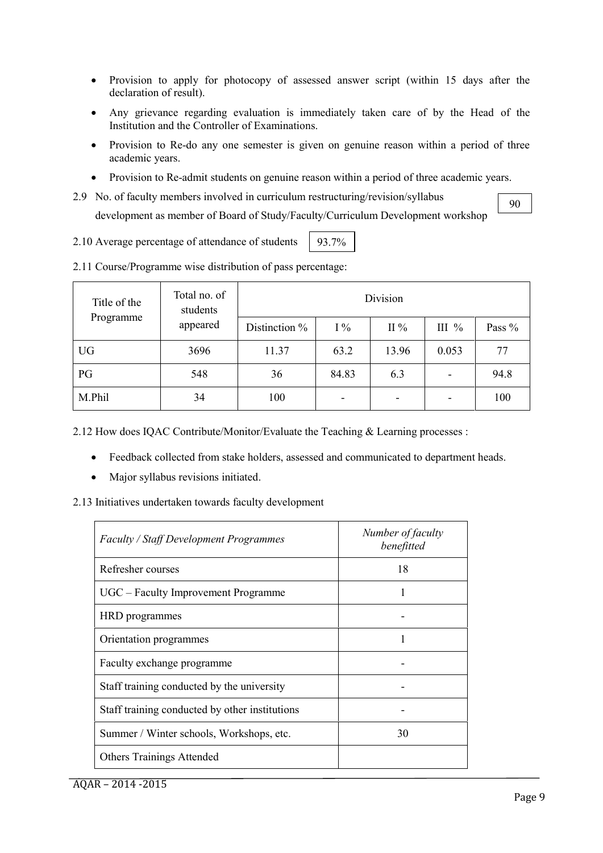- Provision to apply for photocopy of assessed answer script (within 15 days after the declaration of result).
- Any grievance regarding evaluation is immediately taken care of by the Head of the Institution and the Controller of Examinations.
- Provision to Re-do any one semester is given on genuine reason within a period of three academic years.
- Provision to Re-admit students on genuine reason within a period of three academic years.
- 2.9 No. of faculty members involved in curriculum restructuring/revision/syllabus development as member of Board of Study/Faculty/Curriculum Development workshop
- 2.10 Average percentage of attendance of students 93.7%

| Total no. of<br>Title of the<br>students |          | Division      |       |                          |         |        |  |
|------------------------------------------|----------|---------------|-------|--------------------------|---------|--------|--|
| Programme                                | appeared | Distinction % | $1\%$ | $II\%$                   | III $%$ | Pass % |  |
| <b>UG</b>                                | 3696     | 11.37         | 63.2  | 13.96                    | 0.053   | 77     |  |
| PG                                       | 548      | 36            | 84.83 | 6.3                      | -       | 94.8   |  |
| M.Phil                                   | 34       | 100           | ۰     | $\overline{\phantom{0}}$ |         | 100    |  |

2.11 Course/Programme wise distribution of pass percentage:

2.12 How does IQAC Contribute/Monitor/Evaluate the Teaching & Learning processes :

- Feedback collected from stake holders, assessed and communicated to department heads.
- Major syllabus revisions initiated.

2.13 Initiatives undertaken towards faculty development

| <b>Faculty / Staff Development Programmes</b>  | Number of faculty<br>benefitted |
|------------------------------------------------|---------------------------------|
| Refresher courses                              | 18                              |
| UGC – Faculty Improvement Programme            |                                 |
| HRD programmes                                 |                                 |
| Orientation programmes                         |                                 |
| Faculty exchange programme                     |                                 |
| Staff training conducted by the university     |                                 |
| Staff training conducted by other institutions |                                 |
| Summer / Winter schools, Workshops, etc.       | 30                              |
| <b>Others Trainings Attended</b>               |                                 |

90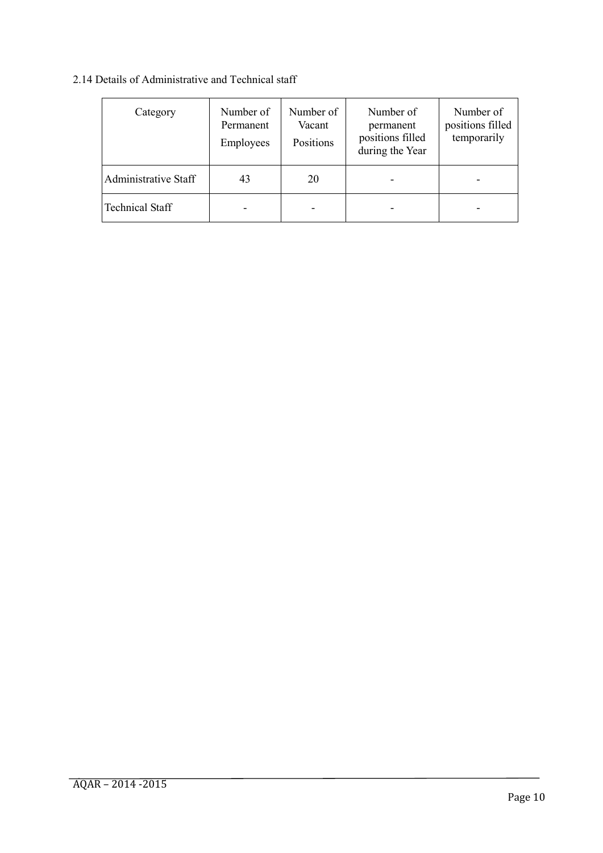# 2.14 Details of Administrative and Technical staff

| Category                    | Number of<br>Permanent<br>Employees | Number of<br>Vacant<br>Positions | Number of<br>permanent<br>positions filled<br>during the Year | Number of<br>positions filled<br>temporarily |
|-----------------------------|-------------------------------------|----------------------------------|---------------------------------------------------------------|----------------------------------------------|
| <b>Administrative Staff</b> | 43                                  | 20                               |                                                               | ۰                                            |
| <b>Technical Staff</b>      |                                     |                                  |                                                               | ۰                                            |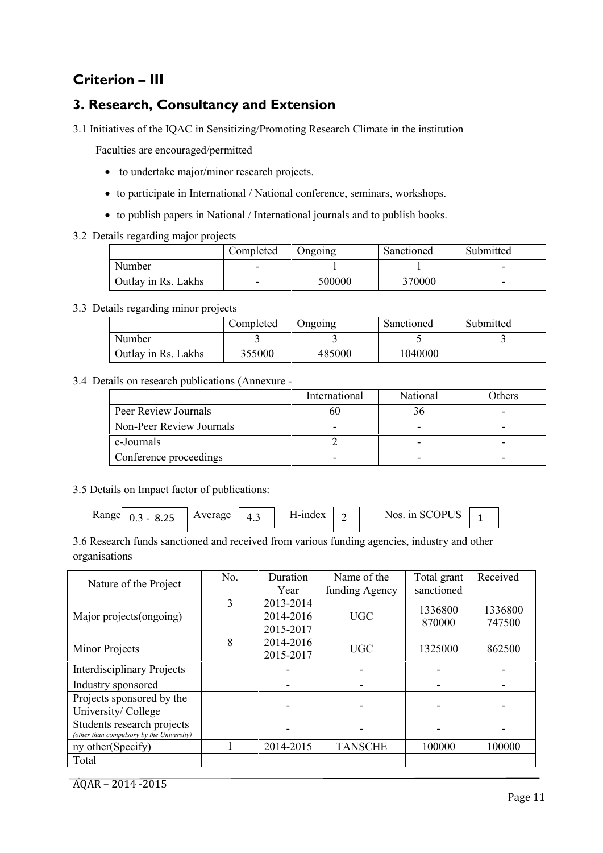# **Criterion – III**

# **3. Research, Consultancy and Extension**

3.1 Initiatives of the IQAC in Sensitizing/Promoting Research Climate in the institution

Faculties are encouraged/permitted

- to undertake major/minor research projects.
- to participate in International / National conference, seminars, workshops.
- to publish papers in National / International journals and to publish books.
- 3.2 Details regarding major projects

|                     | Completed                | <b>Ongoing</b> | Sanctioned | Submitted |
|---------------------|--------------------------|----------------|------------|-----------|
| Number              | -                        |                |            | -         |
| Outlay in Rs. Lakhs | $\overline{\phantom{0}}$ | 500000         | 370000     |           |

3.3 Details regarding minor projects

|                     | Completed | Ongoing | Sanctioned | Submitted |
|---------------------|-----------|---------|------------|-----------|
| Number              |           |         |            |           |
| Outlay in Rs. Lakhs | 355000    | 485000  | 1040000    |           |

3.4 Details on research publications (Annexure -

|                          | International | National | Others |
|--------------------------|---------------|----------|--------|
| Peer Review Journals     | nu            |          |        |
| Non-Peer Review Journals |               |          |        |
| e-Journals               |               |          |        |
| Conference proceedings   | -             |          |        |

3.5 Details on Impact factor of publications:

| Range $0.3 - 8.25$ | Average | . | H-index |  | Nos. in SCOPUS |  |  |
|--------------------|---------|---|---------|--|----------------|--|--|
|--------------------|---------|---|---------|--|----------------|--|--|

| 3.6 Research funds sanctioned and received from various funding agencies, industry and other |  |
|----------------------------------------------------------------------------------------------|--|
| organisations                                                                                |  |

| Nature of the Project                                                   | No. | Duration                            | Name of the    | Total grant       | Received          |
|-------------------------------------------------------------------------|-----|-------------------------------------|----------------|-------------------|-------------------|
|                                                                         |     | Year                                | funding Agency | sanctioned        |                   |
| Major projects (ongoing)                                                | 3   | 2013-2014<br>2014-2016<br>2015-2017 | <b>UGC</b>     | 1336800<br>870000 | 1336800<br>747500 |
| Minor Projects                                                          | 8   | 2014-2016<br>2015-2017              | <b>UGC</b>     | 1325000           | 862500            |
| <b>Interdisciplinary Projects</b>                                       |     |                                     |                |                   |                   |
| Industry sponsored                                                      |     |                                     |                |                   |                   |
| Projects sponsored by the<br>University/College                         |     |                                     |                |                   |                   |
| Students research projects<br>(other than compulsory by the University) |     |                                     |                |                   |                   |
| ny other(Specify)                                                       |     | 2014-2015                           | <b>TANSCHE</b> | 100000            | 100000            |
| Total                                                                   |     |                                     |                |                   |                   |

AQAR – 2014 -2015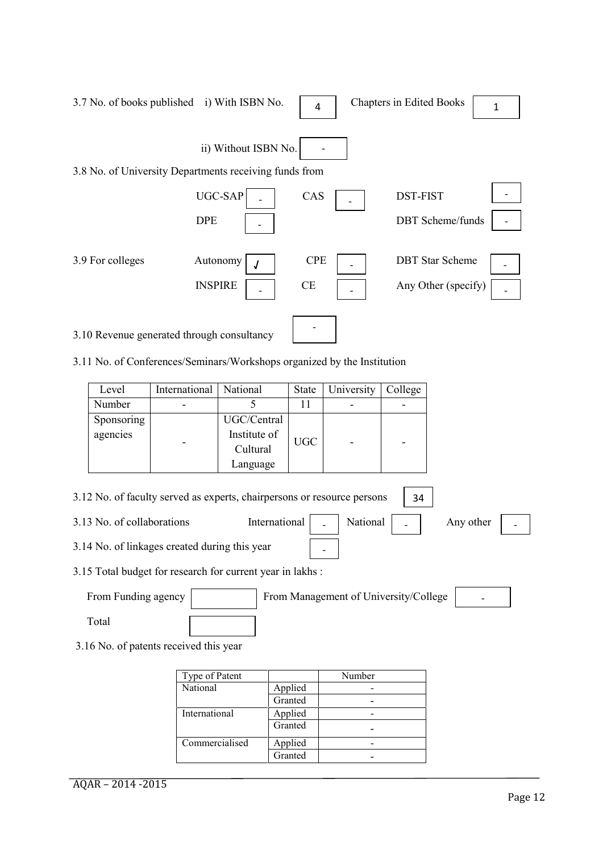| 3.7 No. of books published i) With ISBN No.            |                              | 4                       | <b>Chapters in Edited Books</b>               | 1 |
|--------------------------------------------------------|------------------------------|-------------------------|-----------------------------------------------|---|
| 3.8 No. of University Departments receiving funds from | ii) Without ISBN No.         |                         |                                               |   |
|                                                        | <b>UGC-SAP</b><br><b>DPE</b> | CAS                     | <b>DST-FIST</b><br><b>DBT</b> Scheme/funds    |   |
| 3.9 For colleges                                       | Autonomy<br><b>INSPIRE</b>   | <b>CPE</b><br><b>CE</b> | <b>DBT</b> Star Scheme<br>Any Other (specify) |   |
| 3.10 Revenue generated through consultancy             |                              |                         |                                               |   |

3.11 No. of Conferences/Seminars/Workshops organized by the Institution

| Level      | International   National |              | State      | University               | College |
|------------|--------------------------|--------------|------------|--------------------------|---------|
| Number     |                          |              |            | $\overline{\phantom{0}}$ |         |
| Sponsoring |                          | UGC/Central  |            |                          |         |
| agencies   |                          | Institute of | <b>UGC</b> |                          |         |
|            | -                        | Cultural     |            | $\overline{\phantom{0}}$ | -       |
|            |                          | Language     |            |                          |         |

| 3.12 No. of faculty served as experts, chairpersons or resource persons | - 34                             |  |  |                     |  |
|-------------------------------------------------------------------------|----------------------------------|--|--|---------------------|--|
| 3.13 No. of collaborations                                              | International   _   National   _ |  |  | Any other $\vert$ - |  |
| 3.14 No. of linkages created during this year                           |                                  |  |  |                     |  |
| 3.15 Total budget for research for current year in lakhs .              |                                  |  |  |                     |  |

3.15 Total budget for research for current year in lakhs :

| From Funding agency | From Management of University/College | $\overline{\phantom{0}}$ |
|---------------------|---------------------------------------|--------------------------|
| Total               |                                       |                          |

3.16 No. of patents received this year

| Type of Patent |         | Number |
|----------------|---------|--------|
| National       | Applied |        |
|                | Granted |        |
| International  | Applied |        |
|                | Granted |        |
| Commercialised | Applied |        |
|                | Granted |        |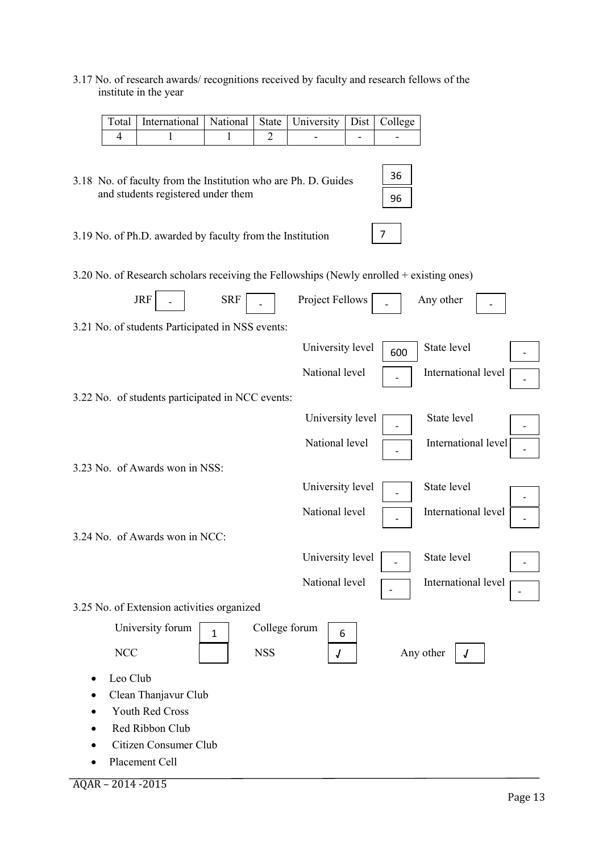3.17 No. of research awards/ recognitions received by faculty and research fellows of the institute in the year

| Total   International   National   State   University   Dist   College |  |  |  |
|------------------------------------------------------------------------|--|--|--|
|                                                                        |  |  |  |

3.18 No. of faculty from the Institution who are Ph. D. Guides and students registered under them

36 96

7

3.19 No. of Ph.D. awarded by faculty from the Institution

3.20 No. of Research scholars receiving the Fellowships (Newly enrolled + existing ones)

| <b>JRF</b><br><b>SRF</b><br>Project Fellows<br>Any other<br>$\overline{a}$ |
|----------------------------------------------------------------------------|
| 3.21 No. of students Participated in NSS events:                           |
| State level<br>University level<br>600                                     |
| National level<br>International level                                      |
| 3.22 No. of students participated in NCC events:                           |
| State level<br>University level                                            |
| National level<br>International level                                      |
| 3.23 No. of Awards won in NSS:                                             |
| State level<br>University level                                            |
| National level<br>International level                                      |
| 3.24 No. of Awards won in NCC:                                             |
| University level<br>State level                                            |
| National level<br>International level                                      |
| 3.25 No. of Extension activities organized                                 |
| College forum<br>University forum<br>$\mathbf{1}$<br>6                     |
| <b>NCC</b><br><b>NSS</b><br>Any other<br>$\pmb{J}$<br>$\sqrt{ }$           |
| Leo Club                                                                   |
| Clean Thanjavur Club                                                       |
| Youth Red Cross                                                            |
| Red Ribbon Club                                                            |
| Citizen Consumer Club                                                      |
| Placement Cell                                                             |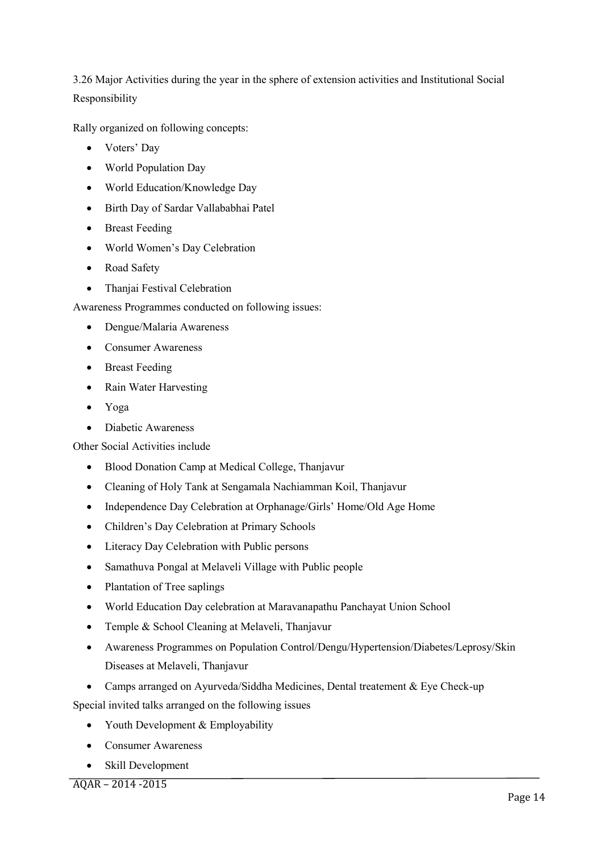3.26 Major Activities during the year in the sphere of extension activities and Institutional Social Responsibility

Rally organized on following concepts:

- Voters' Day
- World Population Day
- World Education/Knowledge Day
- Birth Day of Sardar Vallababhai Patel
- Breast Feeding
- World Women's Day Celebration
- Road Safety
- Thanjai Festival Celebration

Awareness Programmes conducted on following issues:

- Dengue/Malaria Awareness
- Consumer Awareness
- Breast Feeding
- Rain Water Harvesting
- Yoga
- Diabetic Awareness

Other Social Activities include

- Blood Donation Camp at Medical College, Thanjavur
- Cleaning of Holy Tank at Sengamala Nachiamman Koil, Thanjavur
- Independence Day Celebration at Orphanage/Girls' Home/Old Age Home
- Children's Day Celebration at Primary Schools
- Literacy Day Celebration with Public persons
- Samathuva Pongal at Melaveli Village with Public people
- Plantation of Tree saplings
- World Education Day celebration at Maravanapathu Panchayat Union School
- Temple & School Cleaning at Melaveli, Thanjavur
- Awareness Programmes on Population Control/Dengu/Hypertension/Diabetes/Leprosy/Skin Diseases at Melaveli, Thanjavur
- Camps arranged on Ayurveda/Siddha Medicines, Dental treatement & Eye Check-up

Special invited talks arranged on the following issues

- Youth Development & Employability
- Consumer Awareness
- Skill Development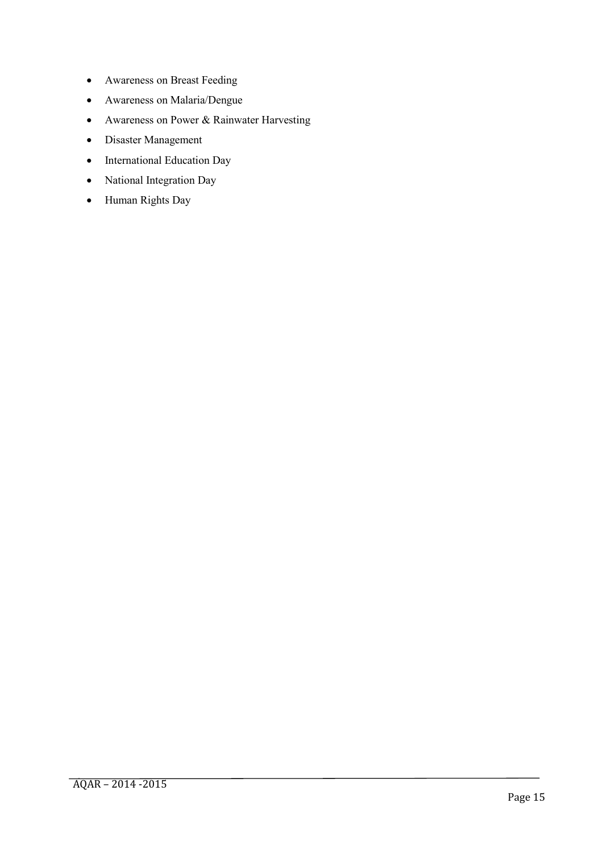- Awareness on Breast Feeding
- Awareness on Malaria/Dengue
- Awareness on Power & Rainwater Harvesting
- Disaster Management
- International Education Day
- National Integration Day
- Human Rights Day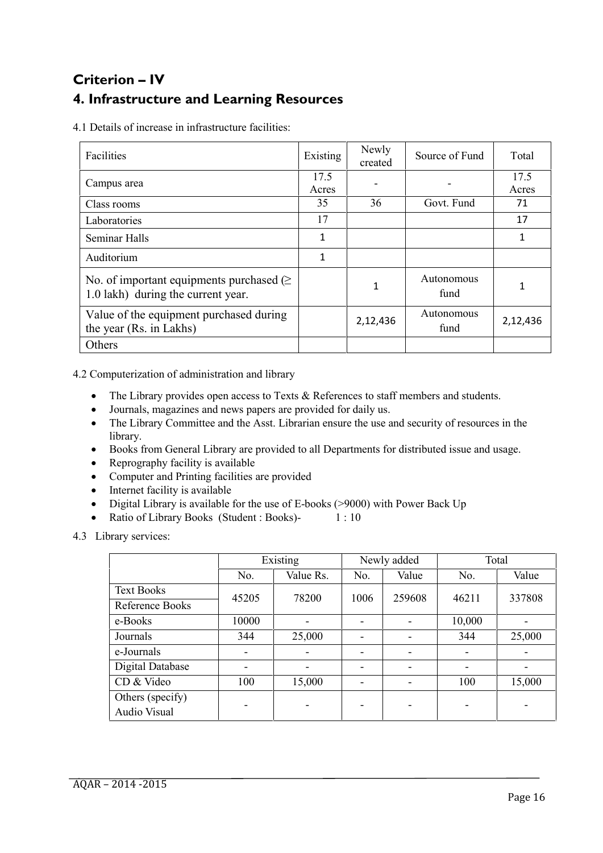# **Criterion – IV 4. Infrastructure and Learning Resources**

4.1 Details of increase in infrastructure facilities:

| Facilities                                                                              | Existing      | Newly<br>created | Source of Fund     | Total         |
|-----------------------------------------------------------------------------------------|---------------|------------------|--------------------|---------------|
| Campus area                                                                             | 17.5<br>Acres |                  |                    | 17.5<br>Acres |
| Class rooms                                                                             | 35            | 36               | Govt. Fund         | 71            |
| Laboratories                                                                            | 17            |                  |                    | 17            |
| Seminar Halls                                                                           | 1             |                  |                    | 1             |
| Auditorium                                                                              | 1             |                  |                    |               |
| No. of important equipments purchased $( \geq 1)$<br>1.0 lakh) during the current year. |               |                  | Autonomous<br>fund | 1             |
| Value of the equipment purchased during<br>the year (Rs. in Lakhs)                      |               | 2,12,436         | Autonomous<br>fund | 2,12,436      |
| Others                                                                                  |               |                  |                    |               |

4.2 Computerization of administration and library

- The Library provides open access to Texts & References to staff members and students.
- Journals, magazines and news papers are provided for daily us.
- The Library Committee and the Asst. Librarian ensure the use and security of resources in the library.
- Books from General Library are provided to all Departments for distributed issue and usage.
- Reprography facility is available
- Computer and Printing facilities are provided
- Internet facility is available
- Digital Library is available for the use of E-books (>9000) with Power Back Up
- Ratio of Library Books (Student : Books)- 1 : 10

4.3 Library services:

|                                  | Existing |                          |      | Newly added              |                          | Total  |  |
|----------------------------------|----------|--------------------------|------|--------------------------|--------------------------|--------|--|
|                                  | No.      | Value Rs.                | No.  | Value                    | No.                      | Value  |  |
| <b>Text Books</b>                | 45205    | 78200                    | 1006 | 259608                   | 46211                    | 337808 |  |
| Reference Books                  |          |                          |      |                          |                          |        |  |
| e-Books                          | 10000    | $\overline{\phantom{0}}$ |      | ۰                        | 10,000                   |        |  |
| Journals                         | 344      | 25,000                   |      | -                        | 344                      | 25,000 |  |
| e-Journals                       |          |                          |      | ۰                        | $\overline{\phantom{a}}$ |        |  |
| Digital Database                 |          | $\overline{\phantom{a}}$ |      | $\overline{\phantom{0}}$ | $\overline{\phantom{a}}$ |        |  |
| CD & Video                       | 100      | 15,000                   |      | -                        | 100                      | 15,000 |  |
| Others (specify)<br>Audio Visual |          |                          |      | -                        | ۰                        |        |  |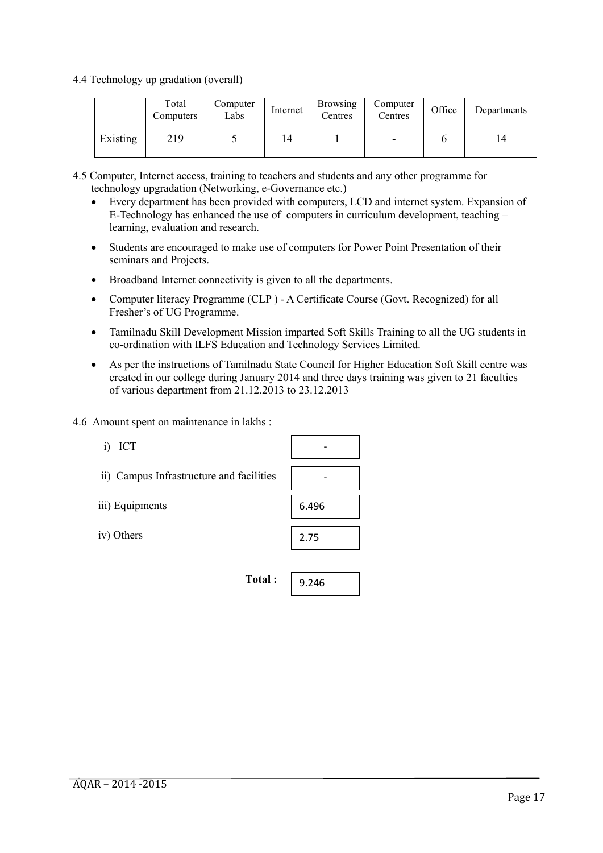4.4 Technology up gradation (overall)

|          | Total<br>Computers | Computer<br>Labs | Internet | <b>Browsing</b><br>Centres | Computer<br>Centres | Office | Departments |
|----------|--------------------|------------------|----------|----------------------------|---------------------|--------|-------------|
| Existing | 219                |                  | 14       |                            | -                   |        | 14          |

- 4.5 Computer, Internet access, training to teachers and students and any other programme for technology upgradation (Networking, e-Governance etc.)
	- Every department has been provided with computers, LCD and internet system. Expansion of E-Technology has enhanced the use of computers in curriculum development, teaching – learning, evaluation and research.
	- Students are encouraged to make use of computers for Power Point Presentation of their seminars and Projects.
	- Broadband Internet connectivity is given to all the departments.
	- Computer literacy Programme (CLP ) A Certificate Course (Govt. Recognized) for all Fresher's of UG Programme.
	- Tamilnadu Skill Development Mission imparted Soft Skills Training to all the UG students in co-ordination with ILFS Education and Technology Services Limited.
	- As per the instructions of Tamilnadu State Council for Higher Education Soft Skill centre was created in our college during January 2014 and three days training was given to 21 faculties of various department from 21.12.2013 to 23.12.2013
- 4.6 Amount spent on maintenance in lakhs :

| ICT<br>$_{1}$                            |       |
|------------------------------------------|-------|
| ii) Campus Infrastructure and facilities |       |
| iii) Equipments                          | 6.496 |
| iv) Others                               | 2.75  |
|                                          |       |
| Total:                                   | 9.246 |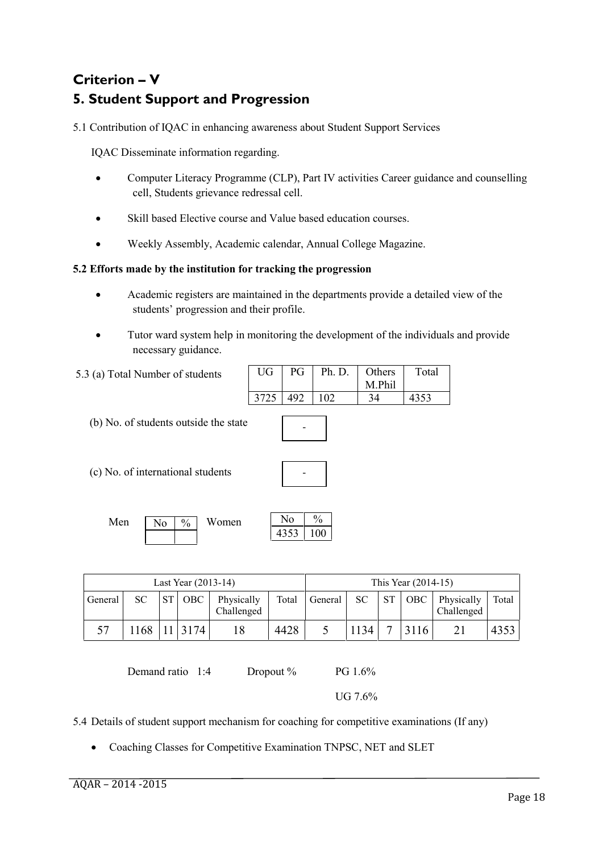# **Criterion – V 5. Student Support and Progression**

5.1 Contribution of IQAC in enhancing awareness about Student Support Services

IQAC Disseminate information regarding.

- Computer Literacy Programme (CLP), Part IV activities Career guidance and counselling cell, Students grievance redressal cell.
- Skill based Elective course and Value based education courses.
- Weekly Assembly, Academic calendar, Annual College Magazine.

## **5.2 Efforts made by the institution for tracking the progression**

- Academic registers are maintained in the departments provide a detailed view of the students' progression and their profile.
- Tutor ward system help in monitoring the development of the individuals and provide necessary guidance.

| UG   | PG | Ph. D. | Others | Total |
|------|----|--------|--------|-------|
|      |    |        | M Phil |       |
| 3725 |    |        | 34     |       |

(b) No. of students outside the state

5.3 (a) Total Number of students

(c) No. of international students

| $\overline{\phantom{0}}$ |  |
|--------------------------|--|
|                          |  |
|                          |  |

-

| Men | N <sub>0</sub> | $\%$ | Women | NΟ   | $\frac{0}{0}$ |
|-----|----------------|------|-------|------|---------------|
|     |                |      |       | 4353 | 00            |

|         |      |           | Last Year (2013-14) |                          |       |         |           |           | This Year $(2014-15)$ |                          |       |
|---------|------|-----------|---------------------|--------------------------|-------|---------|-----------|-----------|-----------------------|--------------------------|-------|
| General | SC.  | <b>ST</b> | OBC                 | Physically<br>Challenged | Total | General | <b>SC</b> | <b>ST</b> | <b>OBC</b>            | Physically<br>Challenged | Total |
|         | 1168 |           | 11 3174             |                          | 4428  |         | 1134      |           | 3116                  |                          | 4353  |

Demand ratio 1:4 Dropout % PG 1.6%

UG 7.6%

5.4 Details of student support mechanism for coaching for competitive examinations (If any)

Coaching Classes for Competitive Examination TNPSC, NET and SLET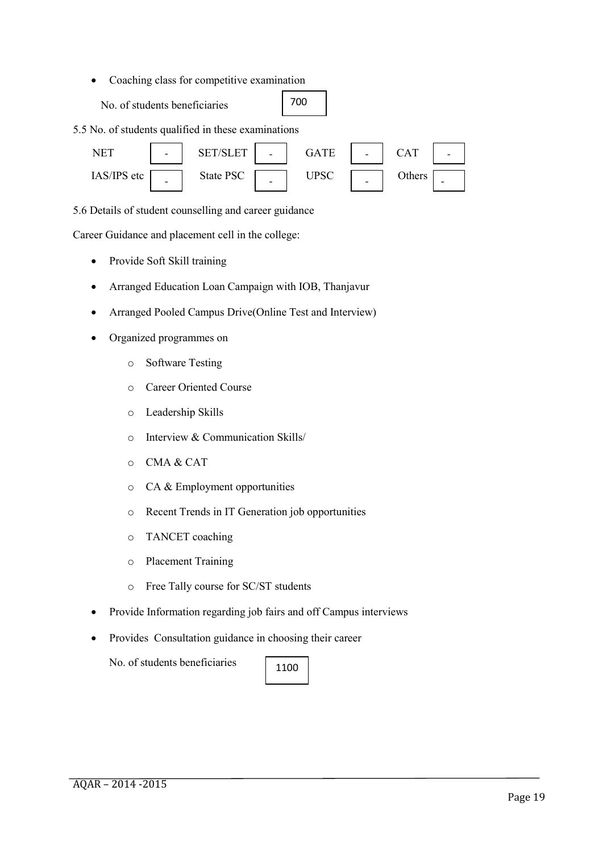• Coaching class for competitive examination

No. of students beneficiaries

| 700 |  |
|-----|--|
|-----|--|

5.5 No. of students qualified in these examinations



5.6 Details of student counselling and career guidance

Career Guidance and placement cell in the college:

- Provide Soft Skill training
- Arranged Education Loan Campaign with IOB, Thanjavur
- Arranged Pooled Campus Drive(Online Test and Interview)
- Organized programmes on
	- o Software Testing
	- o Career Oriented Course
	- o Leadership Skills
	- o Interview & Communication Skills/
	- o CMA & CAT
	- o CA & Employment opportunities
	- o Recent Trends in IT Generation job opportunities
	- o TANCET coaching
	- o Placement Training
	- o Free Tally course for SC/ST students
- Provide Information regarding job fairs and off Campus interviews
- Provides Consultation guidance in choosing their career

No. of students beneficiaries

| 100 |
|-----|
|-----|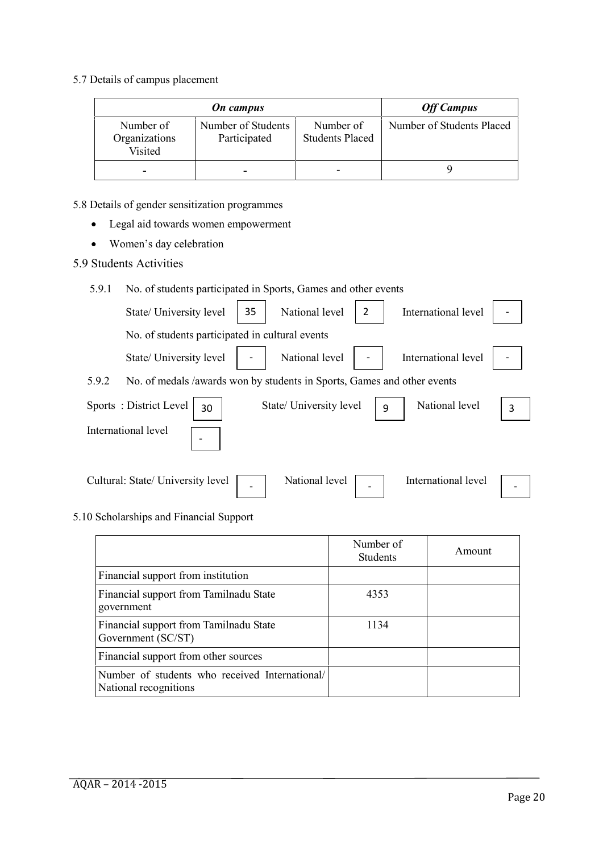5.7 Details of campus placement

|                                       | <b>On</b> campus                   |                                     | <b>Off Campus</b>         |
|---------------------------------------|------------------------------------|-------------------------------------|---------------------------|
| Number of<br>Organizations<br>Visited | Number of Students<br>Participated | Number of<br><b>Students Placed</b> | Number of Students Placed |
|                                       | ٠                                  |                                     |                           |

- 5.8 Details of gender sensitization programmes
	- Legal aid towards women empowerment
	- Women's day celebration
- 5.9 Students Activities

## 5.9.1 No. of students participated in Sports, Games and other events

|       | State/ University level                                                 | 35 | National level          | $\overline{2}$ | International level |   |
|-------|-------------------------------------------------------------------------|----|-------------------------|----------------|---------------------|---|
|       | No. of students participated in cultural events                         |    |                         |                |                     |   |
|       | State/ University level                                                 |    | National level          |                | International level |   |
| 5.9.2 | No. of medals /awards won by students in Sports, Games and other events |    |                         |                |                     |   |
|       | Sports: District Level<br>30                                            |    | State/ University level | 9              | National level      | 3 |
|       | International level                                                     |    |                         |                |                     |   |
|       | Cultural: State/ University level                                       |    | National level          |                | International level |   |

## 5.10 Scholarships and Financial Support

|                                                                         | Number of<br><b>Students</b> | Amount |
|-------------------------------------------------------------------------|------------------------------|--------|
| Financial support from institution                                      |                              |        |
| Financial support from Tamilnadu State<br>government                    | 4353                         |        |
| Financial support from Tamilnadu State<br>Government (SC/ST)            | 1134                         |        |
| Financial support from other sources                                    |                              |        |
| Number of students who received International/<br>National recognitions |                              |        |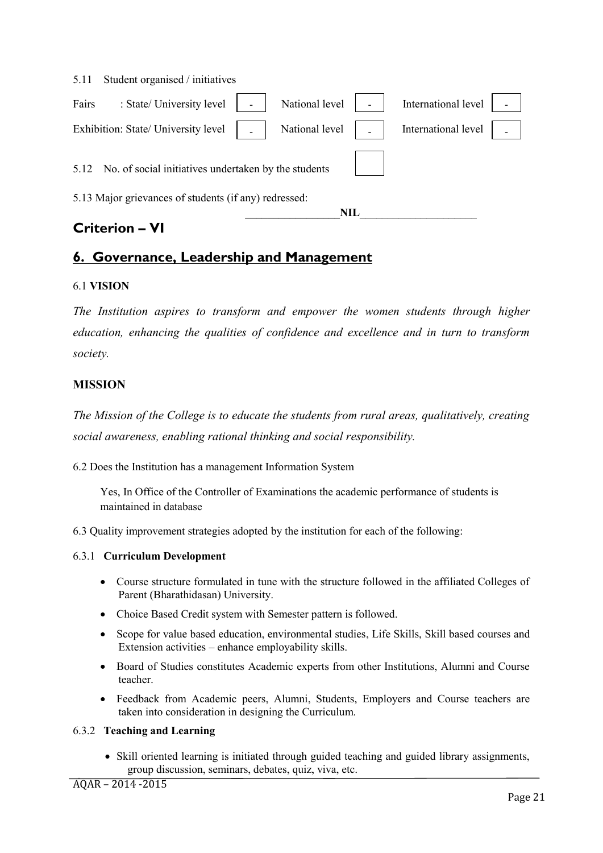|       | <b>Criterion - VI</b>                                     |                |                     |  |
|-------|-----------------------------------------------------------|----------------|---------------------|--|
|       |                                                           | NIL            |                     |  |
|       | 5.13 Major grievances of students (if any) redressed:     |                |                     |  |
|       | 5.12 No. of social initiatives undertaken by the students |                |                     |  |
|       |                                                           |                |                     |  |
|       | Exhibition: State/ University level                       | National level | International level |  |
|       |                                                           |                |                     |  |
| Fairs | : State/ University level                                 | National level | International level |  |
| 5.11  | Student organised / initiatives                           |                |                     |  |

# **6. Governance, Leadership and Management**

## 6.1 **VISION**

*The Institution aspires to transform and empower the women students through higher education, enhancing the qualities of confidence and excellence and in turn to transform society.*

# **MISSION**

*The Mission of the College is to educate the students from rural areas, qualitatively, creating social awareness, enabling rational thinking and social responsibility.*

6.2 Does the Institution has a management Information System

Yes, In Office of the Controller of Examinations the academic performance of students is maintained in database

6.3 Quality improvement strategies adopted by the institution for each of the following:

## 6.3.1 **Curriculum Development**

- Course structure formulated in tune with the structure followed in the affiliated Colleges of Parent (Bharathidasan) University.
- Choice Based Credit system with Semester pattern is followed.
- Scope for value based education, environmental studies, Life Skills, Skill based courses and Extension activities – enhance employability skills.
- Board of Studies constitutes Academic experts from other Institutions, Alumni and Course teacher.
- Feedback from Academic peers, Alumni, Students, Employers and Course teachers are taken into consideration in designing the Curriculum.

#### 6.3.2 **Teaching and Learning**

• Skill oriented learning is initiated through guided teaching and guided library assignments, group discussion, seminars, debates, quiz, viva, etc.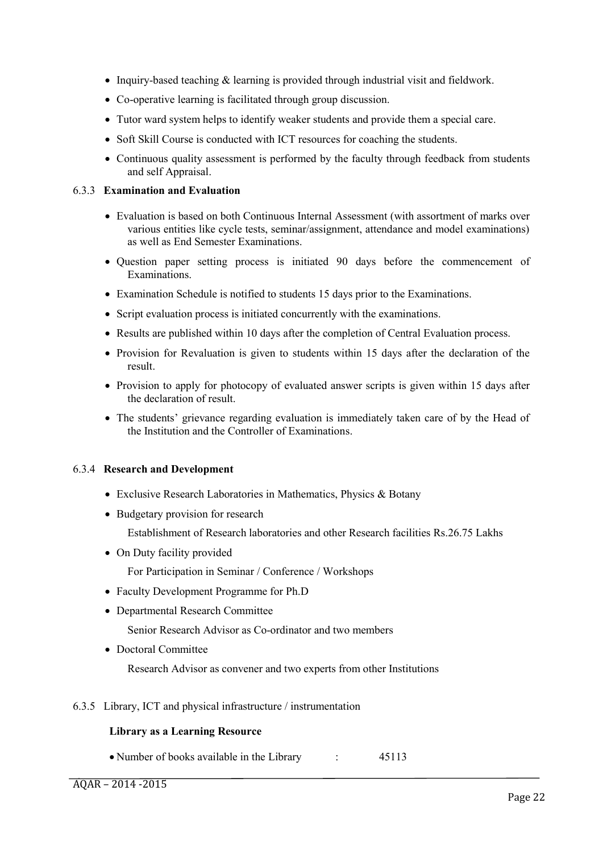- Inquiry-based teaching & learning is provided through industrial visit and fieldwork.
- Co-operative learning is facilitated through group discussion.
- Tutor ward system helps to identify weaker students and provide them a special care.
- Soft Skill Course is conducted with ICT resources for coaching the students.
- Continuous quality assessment is performed by the faculty through feedback from students and self Appraisal.

#### 6.3.3 **Examination and Evaluation**

- Evaluation is based on both Continuous Internal Assessment (with assortment of marks over various entities like cycle tests, seminar/assignment, attendance and model examinations) as well as End Semester Examinations.
- Question paper setting process is initiated 90 days before the commencement of Examinations.
- Examination Schedule is notified to students 15 days prior to the Examinations.
- Script evaluation process is initiated concurrently with the examinations.
- Results are published within 10 days after the completion of Central Evaluation process.
- Provision for Revaluation is given to students within 15 days after the declaration of the result.
- Provision to apply for photocopy of evaluated answer scripts is given within 15 days after the declaration of result.
- The students' grievance regarding evaluation is immediately taken care of by the Head of the Institution and the Controller of Examinations.

#### 6.3.4 **Research and Development**

- Exclusive Research Laboratories in Mathematics, Physics & Botany
- Budgetary provision for research

Establishment of Research laboratories and other Research facilities Rs.26.75 Lakhs

• On Duty facility provided

For Participation in Seminar / Conference / Workshops

- Faculty Development Programme for Ph.D
- Departmental Research Committee

Senior Research Advisor as Co-ordinator and two members

• Doctoral Committee

Research Advisor as convener and two experts from other Institutions

6.3.5 Library, ICT and physical infrastructure / instrumentation

#### **Library as a Learning Resource**

• Number of books available in the Library : 45113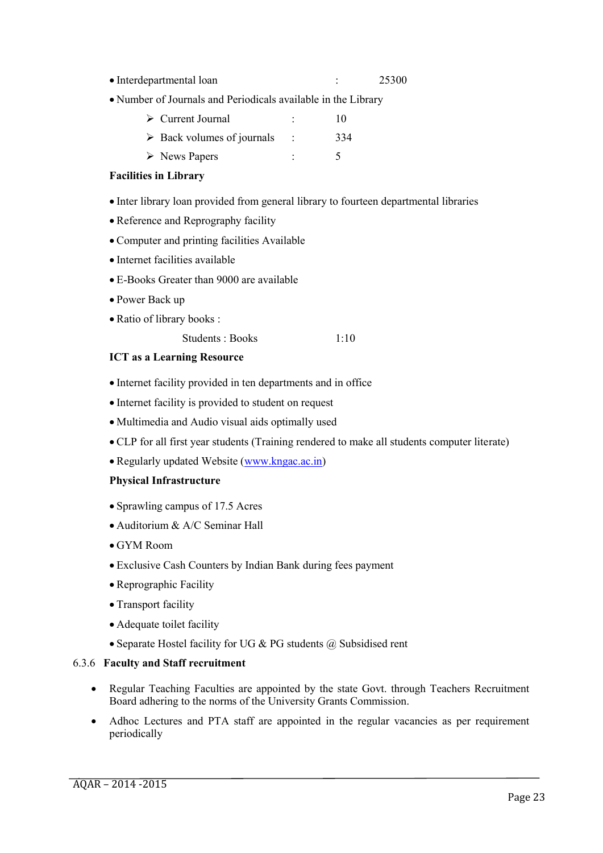- Interdepartmental loan : 25300
- Number of Journals and Periodicals available in the Library

| $\triangleright$ Current Journal          |   | 10  |  |
|-------------------------------------------|---|-----|--|
| $\triangleright$ Back volumes of journals |   | 334 |  |
| $\triangleright$ News Papers              | ۰ |     |  |

#### **Facilities in Library**

- Inter library loan provided from general library to fourteen departmental libraries
- Reference and Reprography facility
- Computer and printing facilities Available
- Internet facilities available
- E-Books Greater than 9000 are available
- Power Back up
- Ratio of library books :
	- Students : Books 1:10

#### **ICT as a Learning Resource**

- Internet facility provided in ten departments and in office
- Internet facility is provided to student on request
- Multimedia and Audio visual aids optimally used
- CLP for all first year students (Training rendered to make all students computer literate)
- Regularly updated Website (www.kngac.ac.in)

#### **Physical Infrastructure**

- Sprawling campus of 17.5 Acres
- Auditorium & A/C Seminar Hall
- GYM Room
- Exclusive Cash Counters by Indian Bank during fees payment
- Reprographic Facility
- Transport facility
- Adequate toilet facility
- Separate Hostel facility for UG  $& PG$  students  $@$  Subsidised rent

#### 6.3.6 **Faculty and Staff recruitment**

- Regular Teaching Faculties are appointed by the state Govt. through Teachers Recruitment Board adhering to the norms of the University Grants Commission.
- Adhoc Lectures and PTA staff are appointed in the regular vacancies as per requirement periodically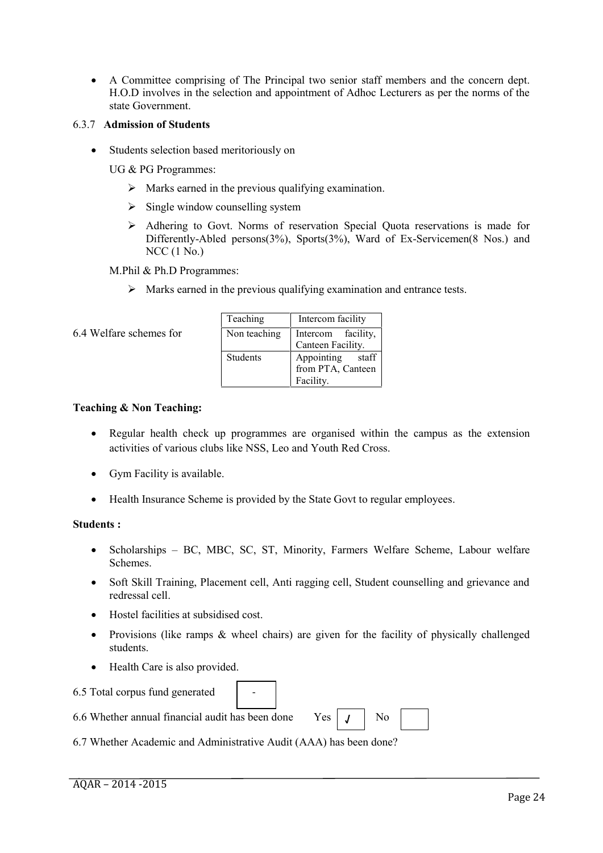A Committee comprising of The Principal two senior staff members and the concern dept. H.O.D involves in the selection and appointment of Adhoc Lecturers as per the norms of the state Government.

#### 6.3.7 **Admission of Students**

Students selection based meritoriously on

UG & PG Programmes:

- $\triangleright$  Marks earned in the previous qualifying examination.
- $\triangleright$  Single window counselling system
- Adhering to Govt. Norms of reservation Special Quota reservations is made for Differently-Abled persons(3%), Sports(3%), Ward of Ex-Servicemen(8 Nos.) and NCC (1 No.)

M.Phil & Ph.D Programmes:

 $\triangleright$  Marks earned in the previous qualifying examination and entrance tests.

6.4 Welfare schemes for

| Teaching        | Intercom facility   |  |  |
|-----------------|---------------------|--|--|
| Non teaching    | Intercom facility,  |  |  |
|                 | Canteen Facility.   |  |  |
| <b>Students</b> | Appointing<br>staff |  |  |
|                 | from PTA, Canteen   |  |  |
|                 | Facility.           |  |  |

#### **Teaching & Non Teaching:**

- Regular health check up programmes are organised within the campus as the extension activities of various clubs like NSS, Leo and Youth Red Cross.
- Gym Facility is available.
- Health Insurance Scheme is provided by the State Govt to regular employees.

#### **Students :**

- Scholarships BC, MBC, SC, ST, Minority, Farmers Welfare Scheme, Labour welfare Schemes.
- Soft Skill Training, Placement cell, Anti ragging cell, Student counselling and grievance and redressal cell.
- Hostel facilities at subsidised cost.
- Provisions (like ramps & wheel chairs) are given for the facility of physically challenged students.

**√**

• Health Care is also provided.

|  |  |  |  | 6.5 Total corpus fund generated |  |
|--|--|--|--|---------------------------------|--|
|--|--|--|--|---------------------------------|--|

| 6.6 Whether annual financial audit has been done $\gamma$ es $ J $ No |  |  |
|-----------------------------------------------------------------------|--|--|

6.7 Whether Academic and Administrative Audit (AAA) has been done?

-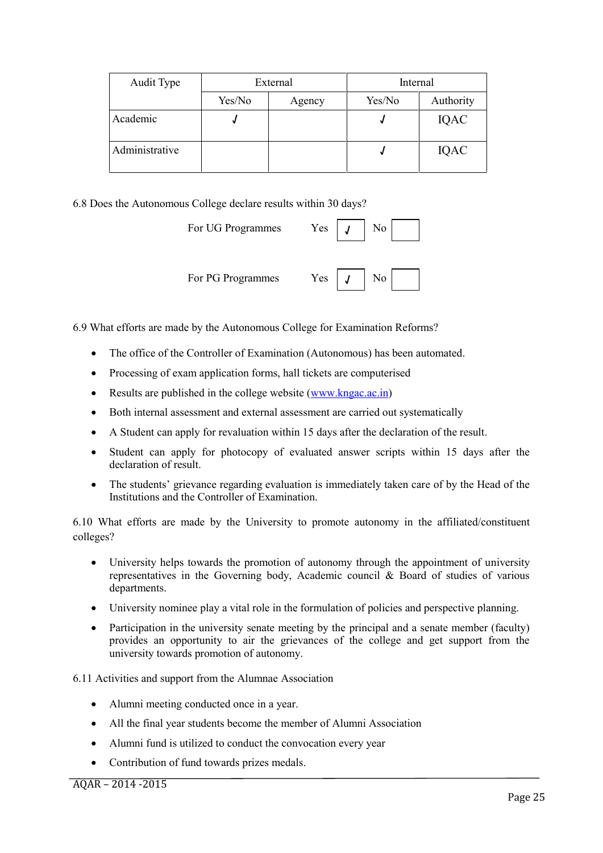| Audit Type     | External |        | Internal |           |  |
|----------------|----------|--------|----------|-----------|--|
|                | Yes/No   | Agency | Yes/No   | Authority |  |
| Academic       |          |        |          | IQAC      |  |
| Administrative |          |        |          | IQAC      |  |

6.8 Does the Autonomous College declare results within 30 days?

| For UG Programmes | $Yes \mid$<br>$J$   No |
|-------------------|------------------------|
| For PG Programmes | Yes $J \cup N$         |

6.9 What efforts are made by the Autonomous College for Examination Reforms?

- The office of the Controller of Examination (Autonomous) has been automated.
- Processing of exam application forms, hall tickets are computerised
- Results are published in the college website  $(www.kngac.ac.in)$
- Both internal assessment and external assessment are carried out systematically
- A Student can apply for revaluation within 15 days after the declaration of the result.
- Student can apply for photocopy of evaluated answer scripts within 15 days after the declaration of result.
- The students' grievance regarding evaluation is immediately taken care of by the Head of the Institutions and the Controller of Examination.

6.10 What efforts are made by the University to promote autonomy in the affiliated/constituent colleges?

- University helps towards the promotion of autonomy through the appointment of university representatives in the Governing body, Academic council & Board of studies of various departments.
- University nominee play a vital role in the formulation of policies and perspective planning.
- Participation in the university senate meeting by the principal and a senate member (faculty) provides an opportunity to air the grievances of the college and get support from the university towards promotion of autonomy.

6.11 Activities and support from the Alumnae Association

- Alumni meeting conducted once in a year.
- All the final year students become the member of Alumni Association
- Alumni fund is utilized to conduct the convocation every year
- Contribution of fund towards prizes medals.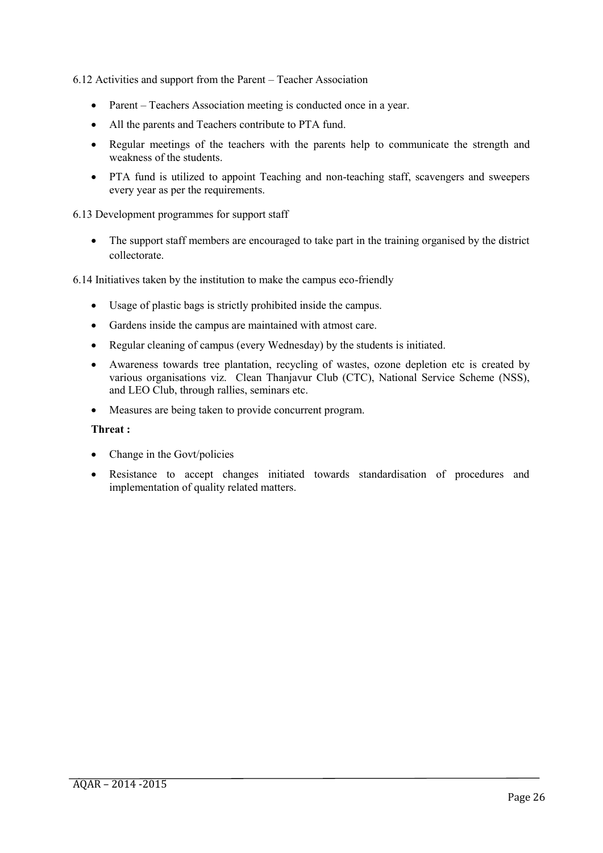6.12 Activities and support from the Parent – Teacher Association

- Parent Teachers Association meeting is conducted once in a year.
- All the parents and Teachers contribute to PTA fund.
- Regular meetings of the teachers with the parents help to communicate the strength and weakness of the students.
- PTA fund is utilized to appoint Teaching and non-teaching staff, scavengers and sweepers every year as per the requirements.

6.13 Development programmes for support staff

• The support staff members are encouraged to take part in the training organised by the district collectorate.

6.14 Initiatives taken by the institution to make the campus eco-friendly

- Usage of plastic bags is strictly prohibited inside the campus.
- Gardens inside the campus are maintained with atmost care.
- Regular cleaning of campus (every Wednesday) by the students is initiated.
- Awareness towards tree plantation, recycling of wastes, ozone depletion etc is created by various organisations viz. Clean Thanjavur Club (CTC), National Service Scheme (NSS), and LEO Club, through rallies, seminars etc.
- Measures are being taken to provide concurrent program.

#### **Threat :**

- Change in the Govt/policies
- Resistance to accept changes initiated towards standardisation of procedures and implementation of quality related matters.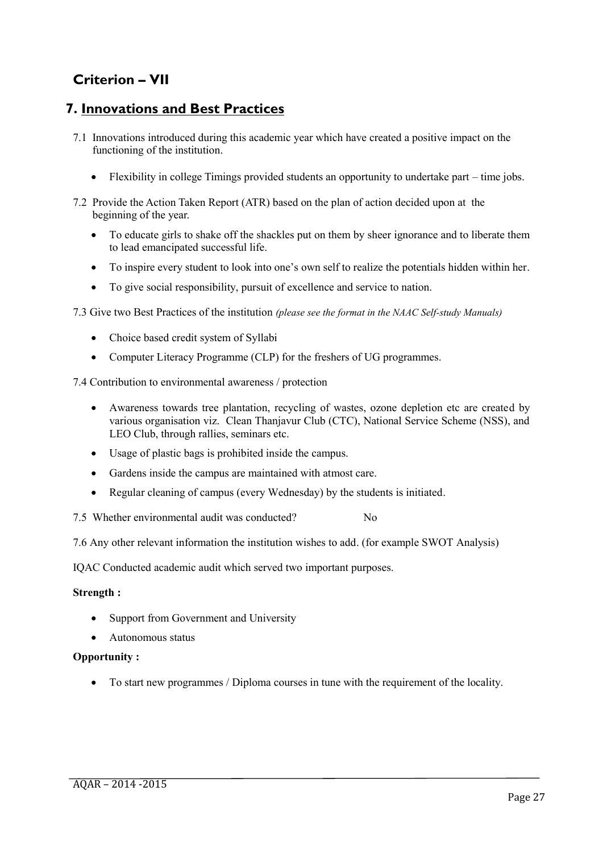# **Criterion – VII**

# **7. Innovations and Best Practices**

- 7.1 Innovations introduced during this academic year which have created a positive impact on the functioning of the institution.
	- Flexibility in college Timings provided students an opportunity to undertake part time jobs.
- 7.2 Provide the Action Taken Report (ATR) based on the plan of action decided upon at the beginning of the year.
	- To educate girls to shake off the shackles put on them by sheer ignorance and to liberate them to lead emancipated successful life.
	- To inspire every student to look into one's own self to realize the potentials hidden within her.
	- To give social responsibility, pursuit of excellence and service to nation.

7.3 Give two Best Practices of the institution *(please see the format in the NAAC Self-study Manuals)*

- Choice based credit system of Syllabi
- Computer Literacy Programme (CLP) for the freshers of UG programmes.

7.4 Contribution to environmental awareness / protection

- Awareness towards tree plantation, recycling of wastes, ozone depletion etc are created by various organisation viz. Clean Thanjavur Club (CTC), National Service Scheme (NSS), and LEO Club, through rallies, seminars etc.
- Usage of plastic bags is prohibited inside the campus.
- Gardens inside the campus are maintained with atmost care.
- Regular cleaning of campus (every Wednesday) by the students is initiated.

7.5 Whether environmental audit was conducted? No

7.6 Any other relevant information the institution wishes to add. (for example SWOT Analysis)

IQAC Conducted academic audit which served two important purposes.

#### **Strength :**

- Support from Government and University
- Autonomous status

#### **Opportunity :**

To start new programmes / Diploma courses in tune with the requirement of the locality.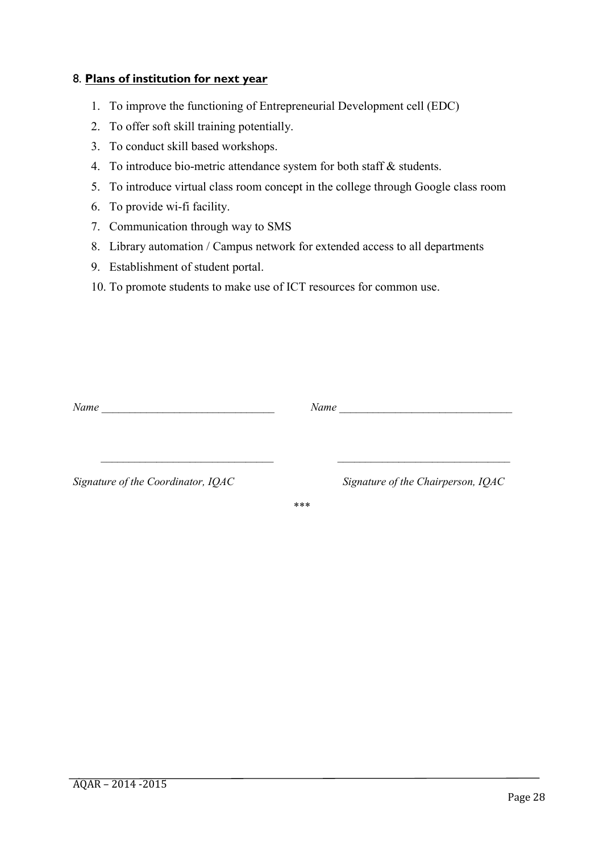## 8. **Plans of institution for next year**

- 1. To improve the functioning of Entrepreneurial Development cell (EDC)
- 2. To offer soft skill training potentially.
- 3. To conduct skill based workshops.
- 4. To introduce bio-metric attendance system for both staff & students.
- 5. To introduce virtual class room concept in the college through Google class room
- 6. To provide wi-fi facility.
- 7. Communication through way to SMS
- 8. Library automation / Campus network for extended access to all departments
- 9. Establishment of student portal.
- 10. To promote students to make use of ICT resources for common use.

| Name                               | Name |                                    |
|------------------------------------|------|------------------------------------|
|                                    |      |                                    |
| Signature of the Coordinator, IQAC |      | Signature of the Chairperson, IQAC |
|                                    | ***  |                                    |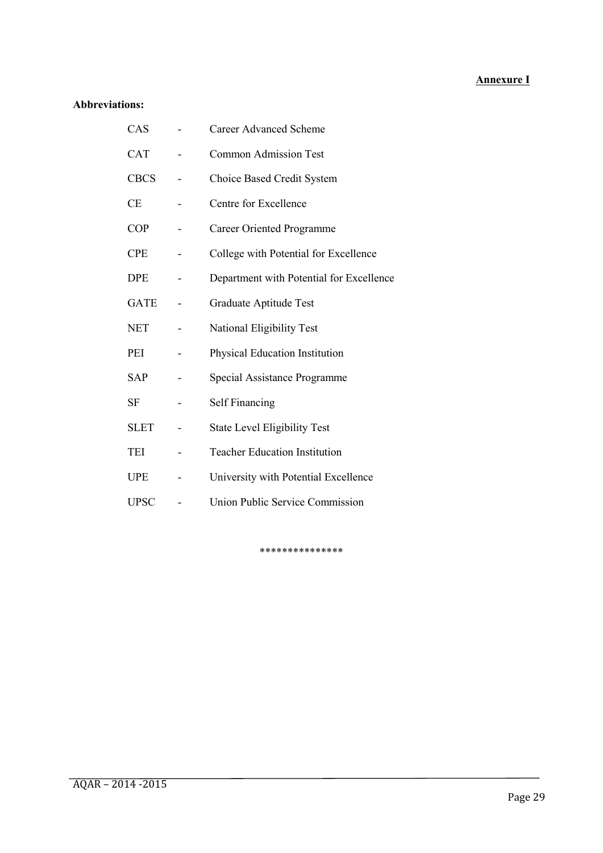#### **Annexure I**

## **Abbreviations:**

| CAS         | <b>Career Advanced Scheme</b>            |
|-------------|------------------------------------------|
| <b>CAT</b>  | <b>Common Admission Test</b>             |
| <b>CBCS</b> | Choice Based Credit System               |
| <b>CE</b>   | Centre for Excellence                    |
| <b>COP</b>  | <b>Career Oriented Programme</b>         |
| <b>CPE</b>  | College with Potential for Excellence    |
| <b>DPE</b>  | Department with Potential for Excellence |
| <b>GATE</b> | Graduate Aptitude Test                   |
| NET         | National Eligibility Test                |
| PEI         | Physical Education Institution           |
| <b>SAP</b>  | Special Assistance Programme             |
| SF          | <b>Self Financing</b>                    |
| <b>SLET</b> | <b>State Level Eligibility Test</b>      |
| TEI         | <b>Teacher Education Institution</b>     |
| UPE         | University with Potential Excellence     |
| <b>UPSC</b> | Union Public Service Commission          |

\*\*\*\*\*\*\*\*\*\*\*\*\*\*\*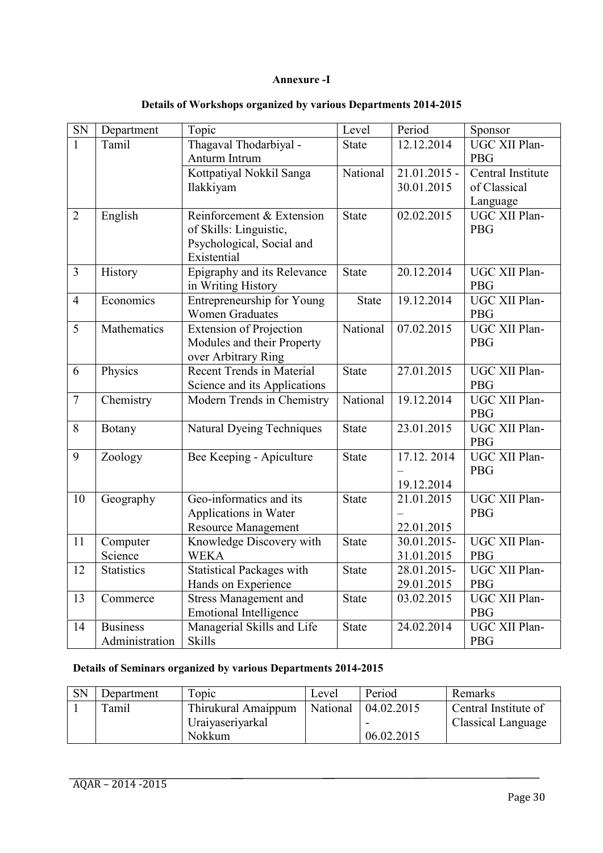#### **Annexure -I**

| SN             | Department                        | Topic                                                                               | Level        | Period                    | Sponsor                     |
|----------------|-----------------------------------|-------------------------------------------------------------------------------------|--------------|---------------------------|-----------------------------|
| $\mathbf{1}$   | Tamil                             | Thagaval Thodarbiyal -                                                              | <b>State</b> | 12.12.2014                | UGC XII Plan-               |
|                |                                   | Anturm Intrum                                                                       |              |                           | <b>PBG</b>                  |
|                |                                   | Kottpatiyal Nokkil Sanga                                                            | National     | $21.01.2015 -$            | Central Institute           |
|                |                                   | Ilakkiyam                                                                           |              | 30.01.2015                | of Classical                |
|                |                                   |                                                                                     |              |                           | Language                    |
| $\overline{2}$ | English                           | Reinforcement & Extension<br>of Skills: Linguistic,<br>Psychological, Social and    | <b>State</b> | 02.02.2015                | UGC XII Plan-<br><b>PBG</b> |
|                |                                   | Existential                                                                         |              |                           |                             |
| $\overline{3}$ | History                           | Epigraphy and its Relevance<br>in Writing History                                   | <b>State</b> | 20.12.2014                | UGC XII Plan-<br><b>PBG</b> |
| $\overline{4}$ | Economics                         | Entrepreneurship for Young<br><b>Women Graduates</b>                                | <b>State</b> | 19.12.2014                | UGC XII Plan-<br><b>PBG</b> |
| 5              | Mathematics                       | <b>Extension of Projection</b><br>Modules and their Property<br>over Arbitrary Ring | National     | 07.02.2015                | UGC XII Plan-<br><b>PBG</b> |
| 6              | Physics                           | <b>Recent Trends in Material</b>                                                    | <b>State</b> | 27.01.2015                | UGC XII Plan-               |
|                |                                   | Science and its Applications                                                        |              |                           | <b>PBG</b>                  |
| $\overline{7}$ | Chemistry                         | Modern Trends in Chemistry                                                          | National     | 19.12.2014                | UGC XII Plan-<br><b>PBG</b> |
| 8              | Botany                            | <b>Natural Dyeing Techniques</b>                                                    | <b>State</b> | 23.01.2015                | UGC XII Plan-<br><b>PBG</b> |
| 9              | Zoology                           | Bee Keeping - Apiculture                                                            | <b>State</b> | 17.12.2014<br>19.12.2014  | UGC XII Plan-<br><b>PBG</b> |
| 10             | Geography                         | Geo-informatics and its<br>Applications in Water<br><b>Resource Management</b>      | <b>State</b> | 21.01.2015<br>22.01.2015  | UGC XII Plan-<br><b>PBG</b> |
| 11             | Computer<br>Science               | Knowledge Discovery with<br><b>WEKA</b>                                             | <b>State</b> | 30.01.2015-<br>31.01.2015 | UGC XII Plan-<br><b>PBG</b> |
| 12             | <b>Statistics</b>                 | <b>Statistical Packages with</b>                                                    | <b>State</b> | 28.01.2015-               | UGC XII Plan-               |
|                |                                   | Hands on Experience                                                                 |              | 29.01.2015                | <b>PBG</b>                  |
| 13             | Commerce                          | <b>Stress Management and</b><br><b>Emotional Intelligence</b>                       | <b>State</b> | 03.02.2015                | UGC XII Plan-<br><b>PBG</b> |
| 14             | <b>Business</b><br>Administration | Managerial Skills and Life<br><b>Skills</b>                                         | <b>State</b> | 24.02.2014                | UGC XII Plan-<br><b>PBG</b> |

## **Details of Workshops organized by various Departments 2014-2015**

## **Details of Seminars organized by various Departments 2014-2015**

| <b>SN</b> | Department | Topic               | Level    | Period     | Remarks                   |
|-----------|------------|---------------------|----------|------------|---------------------------|
|           | Tamil      | Thirukural Amaippum | National | 04.02.2015 | Central Institute of      |
|           |            | Uraiyaseriyarkal    |          |            | <b>Classical Language</b> |
|           |            | <b>Nokkum</b>       |          | 06.02.2015 |                           |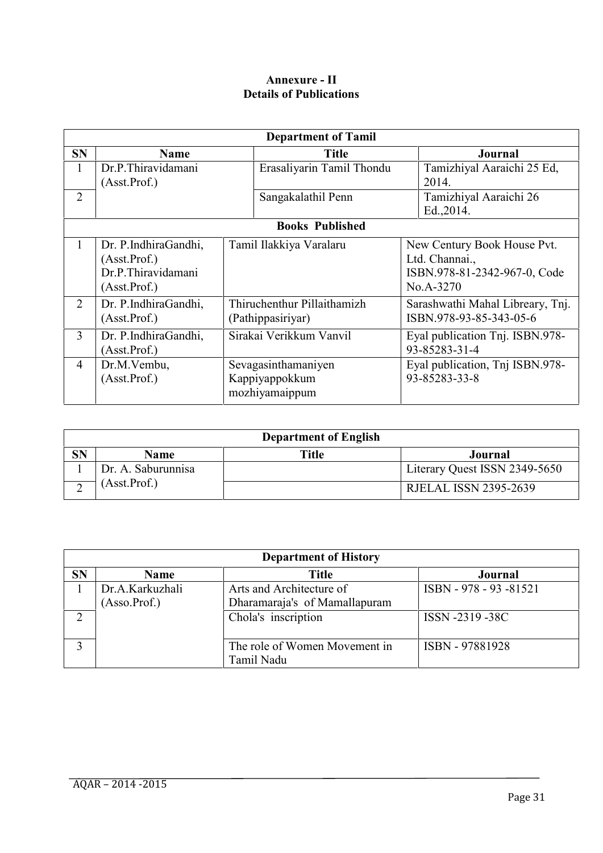## **Annexure - II Details of Publications**

|                |                      | <b>Department of Tamil</b>  |                                  |
|----------------|----------------------|-----------------------------|----------------------------------|
| <b>SN</b>      | <b>Name</b>          | <b>Title</b>                | <b>Journal</b>                   |
|                | Dr.P.Thiravidamani   | Erasaliyarin Tamil Thondu   | Tamizhiyal Aaraichi 25 Ed,       |
|                | (Asst.Prof.)         |                             | 2014.                            |
| $\overline{2}$ |                      | Sangakalathil Penn          | Tamizhiyal Aaraichi 26           |
|                |                      |                             | Ed., 2014.                       |
|                |                      | <b>Books Published</b>      |                                  |
|                | Dr. P.IndhiraGandhi, | Tamil Ilakkiya Varalaru     | New Century Book House Pvt.      |
|                | (Asst.Prof.)         |                             | Ltd. Channai.,                   |
|                | Dr.P.Thiravidamani   |                             | ISBN.978-81-2342-967-0, Code     |
|                | (Asst.Prof.)         |                             | No.A-3270                        |
| 2              | Dr. P.IndhiraGandhi, | Thiruchenthur Pillaithamizh | Sarashwathi Mahal Libreary, Tnj. |
|                | (Asst.Prof.)         | (Pathippasiriyar)           | ISBN.978-93-85-343-05-6          |
| $\overline{3}$ | Dr. P.IndhiraGandhi, | Sirakai Verikkum Vanvil     | Eyal publication Tnj. ISBN.978-  |
|                | (Asst.Prof.)         |                             | 93-85283-31-4                    |
| $\overline{4}$ | Dr.M.Vembu,          | Sevagasinthamaniyen         | Eyal publication, Tnj ISBN.978-  |
|                | (Asst.Prof.)         | Kappiyappokkum              | 93-85283-33-8                    |
|                |                      | mozhiyamaippum              |                                  |

|           |                    | <b>Department of English</b> |                               |
|-----------|--------------------|------------------------------|-------------------------------|
| <b>SN</b> | <b>Name</b>        | Title                        | Journal                       |
|           | Dr. A. Saburunnisa |                              | Literary Quest ISSN 2349-5650 |
|           | (Asst.Prof.)       |                              | <b>RJELAL ISSN 2395-2639</b>  |

|                | <b>Department of History</b>      |                                                           |                        |  |  |
|----------------|-----------------------------------|-----------------------------------------------------------|------------------------|--|--|
| <b>SN</b>      | <b>Name</b>                       | <b>Title</b>                                              | Journal                |  |  |
|                | Dr.A.Karkuzhali<br>(Assoc. Prof.) | Arts and Architecture of<br>Dharamaraja's of Mamallapuram | ISBN - 978 - 93 -81521 |  |  |
| $\overline{2}$ |                                   | Chola's inscription                                       | ISSN -2319 -38C        |  |  |
|                |                                   | The role of Women Movement in<br>Tamil Nadu               | ISBN - 97881928        |  |  |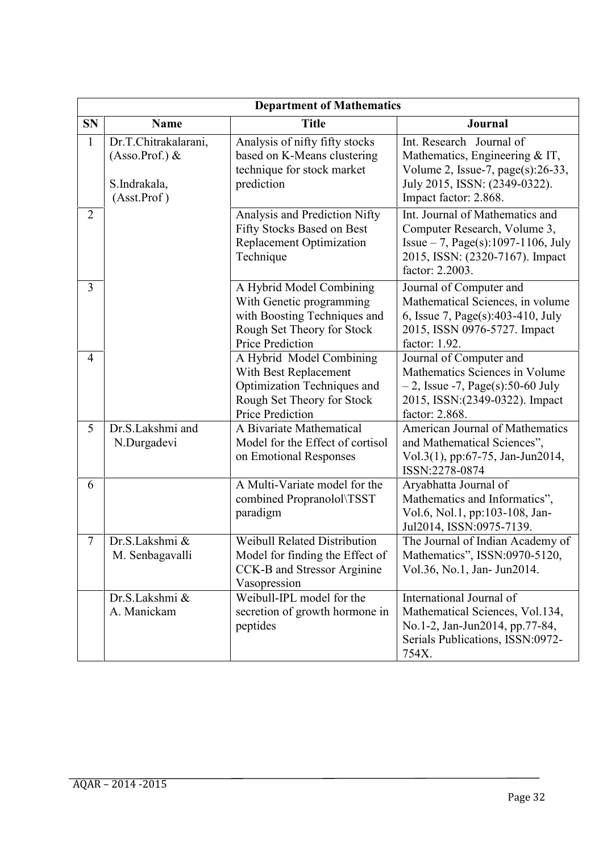| <b>Department of Mathematics</b> |                                                                           |                                                                                                                                        |                                                                                                                                                                |  |
|----------------------------------|---------------------------------------------------------------------------|----------------------------------------------------------------------------------------------------------------------------------------|----------------------------------------------------------------------------------------------------------------------------------------------------------------|--|
| <b>SN</b>                        | <b>Name</b>                                                               | <b>Title</b>                                                                                                                           | <b>Journal</b>                                                                                                                                                 |  |
| $\mathbf{1}$                     | Dr.T.Chitrakalarani,<br>$(Assoc. Prof.)$ &<br>S.Indrakala,<br>(Asst.Prof) | Analysis of nifty fifty stocks<br>based on K-Means clustering<br>technique for stock market<br>prediction                              | Int. Research Journal of<br>Mathematics, Engineering $&IT$ ,<br>Volume 2, Issue-7, $page(s):26-33$ ,<br>July 2015, ISSN: (2349-0322).<br>Impact factor: 2.868. |  |
| $\overline{2}$                   |                                                                           | Analysis and Prediction Nifty<br>Fifty Stocks Based on Best<br>Replacement Optimization<br>Technique                                   | Int. Journal of Mathematics and<br>Computer Research, Volume 3,<br>Issue $-7$ , Page(s):1097-1106, July<br>2015, ISSN: (2320-7167). Impact<br>factor: 2.2003.  |  |
| $\overline{3}$                   |                                                                           | A Hybrid Model Combining<br>With Genetic programming<br>with Boosting Techniques and<br>Rough Set Theory for Stock<br>Price Prediction | Journal of Computer and<br>Mathematical Sciences, in volume<br>6, Issue 7, Page(s):403-410, July<br>2015, ISSN 0976-5727. Impact<br>factor: 1.92.              |  |
| $\overline{4}$                   |                                                                           | A Hybrid Model Combining<br>With Best Replacement<br>Optimization Techniques and<br>Rough Set Theory for Stock<br>Price Prediction     | Journal of Computer and<br>Mathematics Sciences in Volume<br>$-2$ , Issue -7, Page(s):50-60 July<br>2015, ISSN: (2349-0322). Impact<br>factor: 2.868.          |  |
| 5                                | Dr.S.Lakshmi and<br>N.Durgadevi                                           | A Bivariate Mathematical<br>Model for the Effect of cortisol<br>on Emotional Responses                                                 | American Journal of Mathematics<br>and Mathematical Sciences",<br>Vol.3(1), pp:67-75, Jan-Jun2014,<br>ISSN:2278-0874                                           |  |
| 6                                |                                                                           | A Multi-Variate model for the<br>combined Propranolol\TSST<br>paradigm                                                                 | Aryabhatta Journal of<br>Mathematics and Informatics",<br>Vol.6, Nol.1, pp:103-108, Jan-<br>Jul2014, ISSN:0975-7139.                                           |  |
| 7                                | Dr.S.Lakshmi &<br>M. Senbagavalli                                         | <b>Weibull Related Distribution</b><br>Model for finding the Effect of<br>CCK-B and Stressor Arginine<br>Vasopression                  | The Journal of Indian Academy of<br>Mathematics", ISSN:0970-5120,<br>Vol.36, No.1, Jan- Jun2014.                                                               |  |
|                                  | Dr.S.Lakshmi &<br>A. Manickam                                             | Weibull-IPL model for the<br>secretion of growth hormone in<br>peptides                                                                | International Journal of<br>Mathematical Sciences, Vol.134,<br>No.1-2, Jan-Jun2014, pp.77-84,<br>Serials Publications, ISSN:0972-<br>754X.                     |  |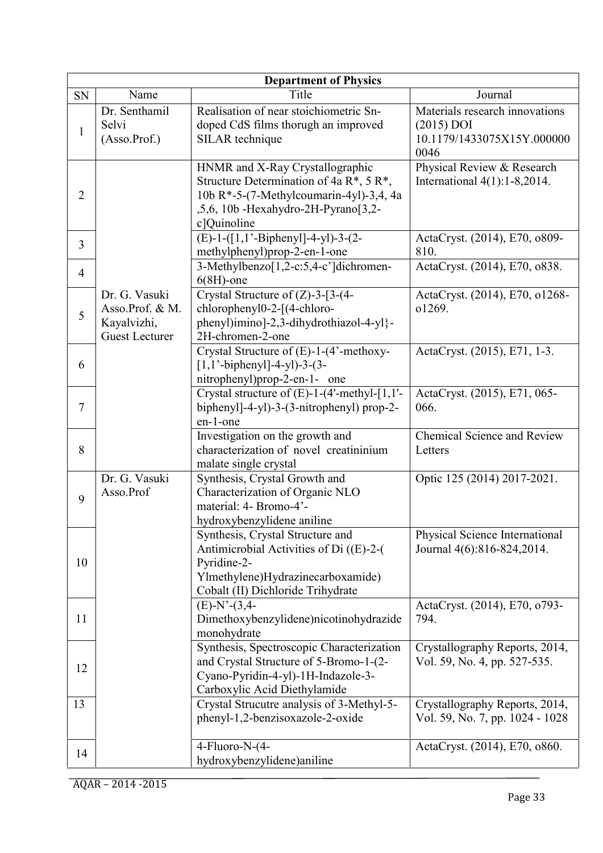| <b>Department of Physics</b> |                                                                          |                                                                                                                                                                                      |                                                                                      |  |
|------------------------------|--------------------------------------------------------------------------|--------------------------------------------------------------------------------------------------------------------------------------------------------------------------------------|--------------------------------------------------------------------------------------|--|
| SN                           | Name                                                                     | Title                                                                                                                                                                                | Journal                                                                              |  |
| $\mathbf{1}$                 | Dr. Senthamil<br>Selvi<br>(Asso.Prof.)                                   | Realisation of near stoichiometric Sn-<br>doped CdS films thorugh an improved<br>SILAR technique                                                                                     | Materials research innovations<br>$(2015)$ DOI<br>10.1179/1433075X15Y.000000<br>0046 |  |
| $\overline{2}$               |                                                                          | HNMR and X-Ray Crystallographic<br>Structure Determination of 4a $R^*$ , 5 $R^*$ ,<br>10b R*-5-(7-Methylcoumarin-4yl)-3,4, 4a<br>,5,6, 10b - Hexahydro-2H-Pyrano[3,2-<br>c]Quinoline | Physical Review & Research<br>International $4(1)$ : 1-8,2014.                       |  |
| 3                            |                                                                          | $(E)-1-([1,1,-Biphenyl]-4-yl)-3-(2-$<br>methylphenyl)prop-2-en-1-one                                                                                                                 | ActaCryst. (2014), E70, o809-<br>810.                                                |  |
| $\overline{4}$               |                                                                          | 3-Methylbenzo <sup>[1,2-c:5,4-c']dichromen-</sup><br>$6(8H)$ -one                                                                                                                    | ActaCryst. (2014), E70, o838.                                                        |  |
| 5                            | Dr. G. Vasuki<br>Asso.Prof. & M.<br>Kayalvizhi,<br><b>Guest Lecturer</b> | Crystal Structure of $(Z)$ -3-[3-(4-<br>chlorophenyl0-2-[(4-chloro-<br>phenyl)imino]-2,3-dihydrothiazol-4-yl}-<br>2H-chromen-2-one                                                   | ActaCryst. (2014), E70, o1268-<br>o1269.                                             |  |
| 6                            |                                                                          | Crystal Structure of (E)-1-(4'-methoxy-<br>$[1,1'-biphenyl]$ -4-yl)-3-(3-<br>nitrophenyl)prop-2-en-1- one                                                                            | ActaCryst. (2015), E71, 1-3.                                                         |  |
| 7                            |                                                                          | Crystal structure of (E)-1-(4'-methyl-[1,1'-<br>biphenyl $]-4-y1)-3-(3-nitrophenyl)$ prop-2-<br>en-1-one                                                                             | ActaCryst. (2015), E71, 065-<br>066.                                                 |  |
| 8                            |                                                                          | Investigation on the growth and<br>characterization of novel creatininium<br>malate single crystal                                                                                   | Chemical Science and Review<br>Letters                                               |  |
| 9                            | Dr. G. Vasuki<br>Asso.Prof                                               | Synthesis, Crystal Growth and<br>Characterization of Organic NLO<br>material: 4- Bromo-4'-<br>hydroxybenzylidene aniline                                                             | Optic 125 (2014) 2017-2021.                                                          |  |
| 10                           |                                                                          | Synthesis, Crystal Structure and<br>Antimicrobial Activities of Di ((E)-2-(<br>Pyridine-2-<br>Ylmethylene)Hydrazinecarboxamide)<br>Cobalt (II) Dichloride Trihydrate                 | Physical Science International<br>Journal 4(6):816-824,2014.                         |  |
| 11                           |                                                                          | $(E)-N'-(3,4-$<br>Dimethoxybenzylidene)nicotinohydrazide<br>monohydrate                                                                                                              | ActaCryst. (2014), E70, o793-<br>794.                                                |  |
| 12                           |                                                                          | Synthesis, Spectroscopic Characterization<br>and Crystal Structure of 5-Bromo-1-(2-<br>Cyano-Pyridin-4-yl)-1H-Indazole-3-<br>Carboxylic Acid Diethylamide                            | Crystallography Reports, 2014,<br>Vol. 59, No. 4, pp. 527-535.                       |  |
| 13                           |                                                                          | Crystal Strucutre analysis of 3-Methyl-5-<br>phenyl-1,2-benzisoxazole-2-oxide                                                                                                        | Crystallography Reports, 2014,<br>Vol. 59, No. 7, pp. 1024 - 1028                    |  |
| 14                           |                                                                          | 4-Fluoro-N-(4-<br>hydroxybenzylidene)aniline                                                                                                                                         | ActaCryst. (2014), E70, o860.                                                        |  |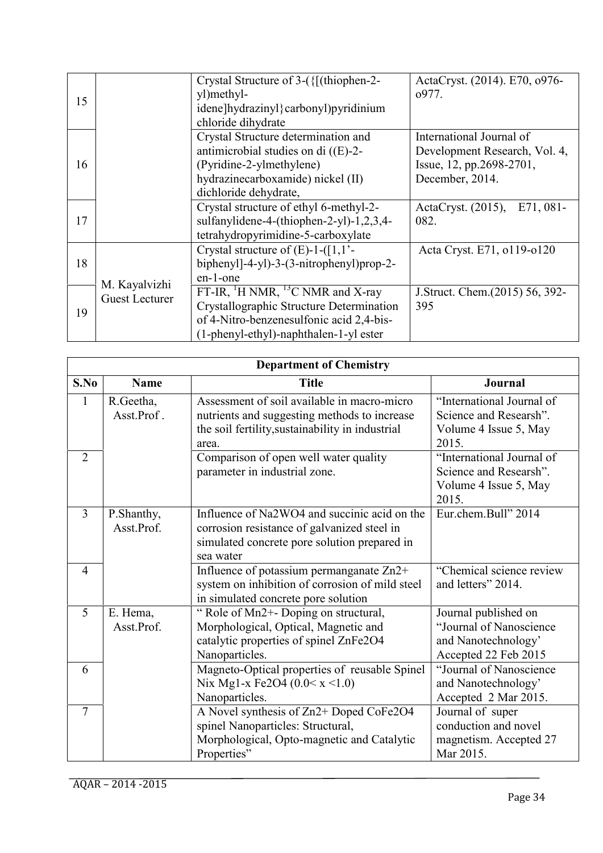|    |                                        | Crystal Structure of 3-({[(thiophen-2-<br>yl)methyl-     | ActaCryst. (2014). E70, o976-<br>0977. |
|----|----------------------------------------|----------------------------------------------------------|----------------------------------------|
| 15 |                                        | idene]hydrazinyl}carbonyl)pyridinium                     |                                        |
|    |                                        | chloride dihydrate                                       |                                        |
|    |                                        | Crystal Structure determination and                      | International Journal of               |
|    |                                        | antimicrobial studies on di $((E)-2-$                    | Development Research, Vol. 4,          |
| 16 |                                        | (Pyridine-2-ylmethylene)                                 | Issue, 12, pp.2698-2701,               |
|    |                                        | hydrazinecarboxamide) nickel (II)                        | December, 2014.                        |
|    |                                        | dichloride dehydrate,                                    |                                        |
|    |                                        | Crystal structure of ethyl 6-methyl-2-                   | ActaCryst. (2015), E71, 081-           |
| 17 |                                        | sulfanylidene-4-(thiophen-2-yl)-1,2,3,4-                 | 082.                                   |
|    |                                        | tetrahydropyrimidine-5-carboxylate                       |                                        |
|    | M. Kayalvizhi<br><b>Guest Lecturer</b> | Crystal structure of $(E)$ -1- $([1,1]$ <sup>-</sup>     | Acta Cryst. E71, o119-o120             |
| 18 |                                        | biphenyl $]-4-y1)-3-(3-nitrophenyl)prop-2-$              |                                        |
|    |                                        | en-1-one                                                 |                                        |
| 19 |                                        | FT-IR, <sup>1</sup> H NMR, <sup>13</sup> C NMR and X-ray | J.Struct. Chem.(2015) 56, 392-         |
|    |                                        | Crystallographic Structure Determination                 | 395                                    |
|    |                                        | of 4-Nitro-benzenesulfonic acid 2,4-bis-                 |                                        |
|    |                                        | (1-phenyl-ethyl)-naphthalen-1-yl ester                   |                                        |

| <b>Department of Chemistry</b> |                          |                                                                                                                                                          |                                                                                                |
|--------------------------------|--------------------------|----------------------------------------------------------------------------------------------------------------------------------------------------------|------------------------------------------------------------------------------------------------|
| S.No                           | <b>Name</b>              | <b>Title</b>                                                                                                                                             | <b>Journal</b>                                                                                 |
| $\mathbf{1}$                   | R.Geetha,<br>Asst.Prof.  | Assessment of soil available in macro-micro<br>nutrients and suggesting methods to increase<br>the soil fertility, sustainability in industrial<br>area. | "International Journal of<br>Science and Researsh".<br>Volume 4 Issue 5, May<br>2015.          |
| 2                              |                          | Comparison of open well water quality<br>parameter in industrial zone.                                                                                   | "International Journal of<br>Science and Researsh".<br>Volume 4 Issue 5, May<br>2015.          |
| $\overline{3}$                 | P.Shanthy,<br>Asst.Prof. | Influence of Na2WO4 and succinic acid on the<br>corrosion resistance of galvanized steel in<br>simulated concrete pore solution prepared in<br>sea water | Eur.chem.Bull" 2014                                                                            |
| $\overline{4}$                 |                          | Influence of potassium permanganate Zn2+<br>system on inhibition of corrosion of mild steel<br>in simulated concrete pore solution                       | "Chemical science review<br>and letters" 2014.                                                 |
| 5                              | E. Hema,<br>Asst.Prof.   | "Role of Mn2+- Doping on structural,<br>Morphological, Optical, Magnetic and<br>catalytic properties of spinel ZnFe2O4<br>Nanoparticles.                 | Journal published on<br>"Journal of Nanoscience<br>and Nanotechnology'<br>Accepted 22 Feb 2015 |
| 6                              |                          | Magneto-Optical properties of reusable Spinel<br>Nix Mg1-x Fe2O4 $(0.0 < x < 1.0)$<br>Nanoparticles.                                                     | "Journal of Nanoscience<br>and Nanotechnology'<br>Accepted 2 Mar 2015.                         |
| $\tau$                         |                          | A Novel synthesis of Zn2+ Doped CoFe2O4<br>spinel Nanoparticles: Structural,<br>Morphological, Opto-magnetic and Catalytic<br>Properties"                | Journal of super<br>conduction and novel<br>magnetism. Accepted 27<br>Mar 2015.                |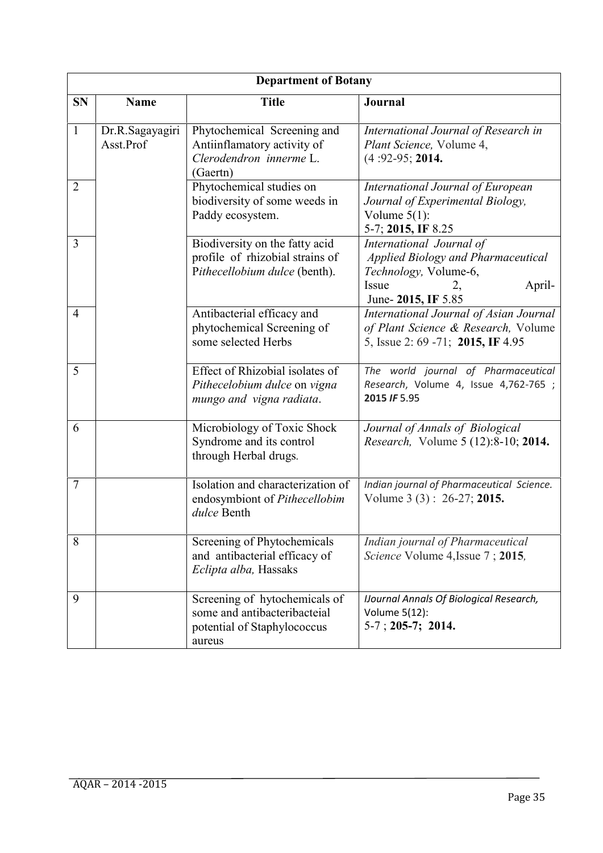| <b>Department of Botany</b> |                              |                                                                                                        |                                                                                                                                         |  |
|-----------------------------|------------------------------|--------------------------------------------------------------------------------------------------------|-----------------------------------------------------------------------------------------------------------------------------------------|--|
| <b>SN</b>                   | <b>Name</b>                  | <b>Title</b>                                                                                           | Journal                                                                                                                                 |  |
| $\mathbf{1}$                | Dr.R.Sagayagiri<br>Asst.Prof | Phytochemical Screening and<br>Antiinflamatory activity of<br>Clerodendron innerme L.<br>(Gaertn)      | International Journal of Research in<br>Plant Science, Volume 4,<br>$(4:92-95; 2014.$                                                   |  |
| $\overline{2}$              |                              | Phytochemical studies on<br>biodiversity of some weeds in<br>Paddy ecosystem.                          | International Journal of European<br>Journal of Experimental Biology,<br>Volume $5(1)$ :<br>5-7; 2015, IF 8.25                          |  |
| 3                           |                              | Biodiversity on the fatty acid<br>profile of rhizobial strains of<br>Pithecellobium dulce (benth).     | International Journal of<br>Applied Biology and Pharmaceutical<br>Technology, Volume-6,<br>Issue<br>April-<br>2,<br>June- 2015, IF 5.85 |  |
| $\overline{4}$              |                              | Antibacterial efficacy and<br>phytochemical Screening of<br>some selected Herbs                        | International Journal of Asian Journal<br>of Plant Science & Research, Volume<br>5, Issue 2: 69 -71; 2015, IF 4.95                      |  |
| 5                           |                              | Effect of Rhizobial isolates of<br>Pithecelobium dulce on vigna<br>mungo and vigna radiata.            | The world journal of Pharmaceutical<br>Research, Volume 4, Issue 4,762-765 ;<br>2015 IF 5.95                                            |  |
| 6                           |                              | Microbiology of Toxic Shock<br>Syndrome and its control<br>through Herbal drugs.                       | Journal of Annals of Biological<br><i>Research, Volume 5 (12):8-10; 2014.</i>                                                           |  |
| $\overline{7}$              |                              | Isolation and characterization of<br>endosymbiont of Pithecellobim<br>dulce Benth                      | Indian journal of Pharmaceutical Science.<br>Volume 3 (3): 26-27; 2015.                                                                 |  |
| 8                           |                              | Screening of Phytochemicals<br>and antibacterial efficacy of<br>Eclipta alba, Hassaks                  | Indian journal of Pharmaceutical<br>Science Volume 4, Issue 7 ; 2015,                                                                   |  |
| 9                           |                              | Screening of hytochemicals of<br>some and antibacteribacteial<br>potential of Staphylococcus<br>aureus | <b>IJournal Annals Of Biological Research,</b><br>Volume 5(12):<br>$5-7$ ; 205-7; 2014.                                                 |  |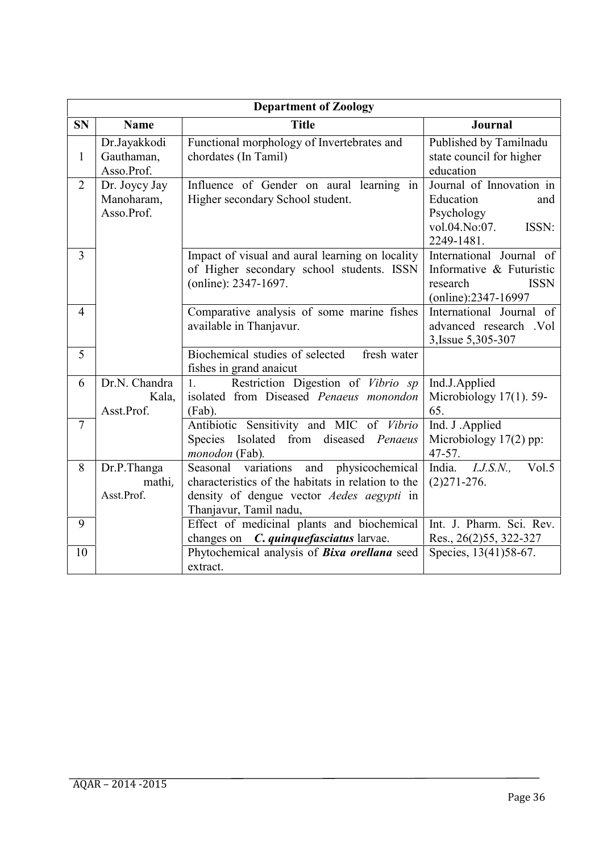| <b>Department of Zoology</b> |                                           |                                                                                                                                                                            |                                                                                                        |  |
|------------------------------|-------------------------------------------|----------------------------------------------------------------------------------------------------------------------------------------------------------------------------|--------------------------------------------------------------------------------------------------------|--|
| <b>SN</b>                    | <b>Name</b>                               | <b>Title</b>                                                                                                                                                               | <b>Journal</b>                                                                                         |  |
| $\mathbf{1}$                 | Dr.Jayakkodi<br>Gauthaman,<br>Asso.Prof.  | Functional morphology of Invertebrates and<br>chordates (In Tamil)                                                                                                         | Published by Tamilnadu<br>state council for higher<br>education                                        |  |
| $\overline{2}$               | Dr. Joycy Jay<br>Manoharam,<br>Asso.Prof. | Influence of Gender on aural learning in<br>Higher secondary School student.                                                                                               | Journal of Innovation in<br>Education<br>and<br>Psychology<br>vol.04.No:07.<br>ISSN:<br>2249-1481.     |  |
| $\overline{3}$               |                                           | Impact of visual and aural learning on locality<br>of Higher secondary school students. ISSN<br>(online): 2347-1697.                                                       | International Journal of<br>Informative & Futuristic<br>research<br><b>ISSN</b><br>(online):2347-16997 |  |
| $\overline{4}$               |                                           | Comparative analysis of some marine fishes<br>available in Thanjavur.                                                                                                      | International Journal of<br>advanced research .Vol<br>3, Issue 5, 305-307                              |  |
| 5                            |                                           | Biochemical studies of selected<br>fresh water<br>fishes in grand anaicut                                                                                                  |                                                                                                        |  |
| 6                            | Dr.N. Chandra<br>Kala,<br>Asst.Prof.      | Restriction Digestion of Vibrio sp<br>1 <sup>1</sup><br>isolated from Diseased Penaeus monondon<br>(Fab).                                                                  | Ind.J.Applied<br>Microbiology $17(1)$ . 59-<br>65.                                                     |  |
| $\tau$                       |                                           | Antibiotic Sensitivity and MIC of Vibrio<br>Species Isolated from diseased Penaeus<br>monodon (Fab).                                                                       | Ind. J .Applied<br>Microbiology $17(2)$ pp:<br>47-57.                                                  |  |
| 8                            | Dr.P.Thanga<br>mathi,<br>Asst.Prof.       | and<br>Seasonal variations<br>physicochemical<br>characteristics of the habitats in relation to the<br>density of dengue vector Aedes aegypti in<br>Thanjavur, Tamil nadu, | I.J.S.N.,<br>Vol.5<br>India.<br>$(2)$ 271-276.                                                         |  |
| 9                            |                                           | Effect of medicinal plants and biochemical<br>changes on <i>C. quinquefasciatus</i> larvae.                                                                                | Int. J. Pharm. Sci. Rev.<br>Res., 26(2)55, 322-327                                                     |  |
| 10                           |                                           | Phytochemical analysis of <b>Bixa orellana</b> seed<br>extract.                                                                                                            | Species, 13(41)58-67.                                                                                  |  |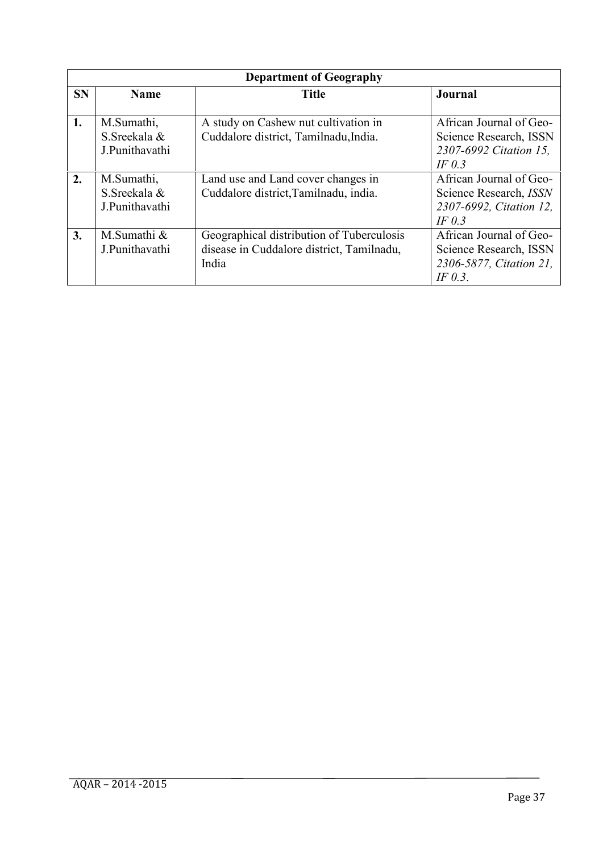| <b>Department of Geography</b> |                |                                           |                               |
|--------------------------------|----------------|-------------------------------------------|-------------------------------|
| <b>SN</b>                      | <b>Name</b>    | <b>Title</b>                              | Journal                       |
| 1.                             | M.Sumathi,     | A study on Cashew nut cultivation in      | African Journal of Geo-       |
|                                | S. Sreekala &  | Cuddalore district, Tamilnadu, India.     | Science Research, ISSN        |
|                                | J.Punithavathi |                                           | 2307-6992 Citation 15,        |
|                                |                |                                           | IF $0.3$                      |
| 2.                             | M.Sumathi,     | Land use and Land cover changes in        | African Journal of Geo-       |
|                                | S. Sreekala &  | Cuddalore district, Tamilnadu, india.     | Science Research, <i>ISSN</i> |
|                                | J.Punithavathi |                                           | 2307-6992, Citation 12,       |
|                                |                |                                           | IF $0.3$                      |
| 3.                             | M.Sumathi &    | Geographical distribution of Tuberculosis | African Journal of Geo-       |
|                                | J.Punithavathi | disease in Cuddalore district, Tamilnadu, | Science Research, ISSN        |
|                                |                | India                                     | 2306-5877, Citation 21,       |
|                                |                |                                           | IF $0.3$ .                    |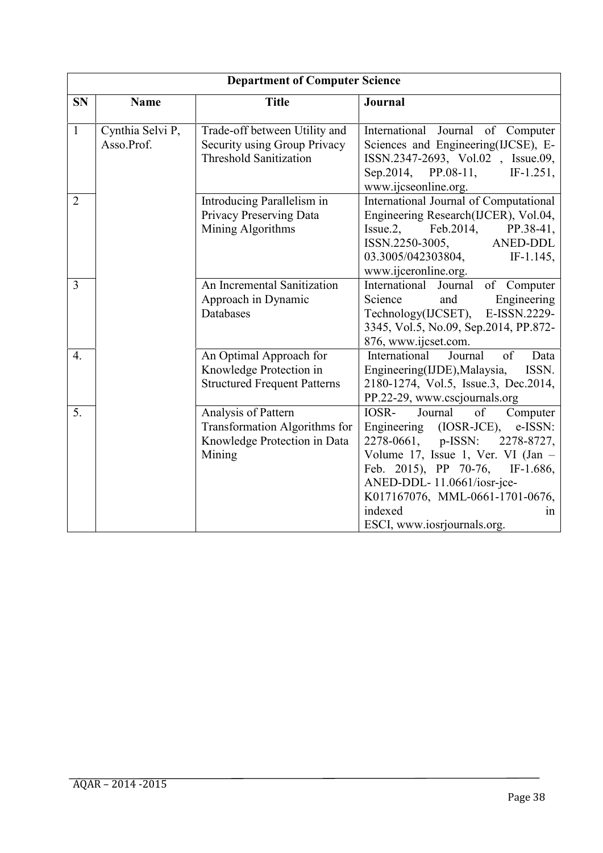| <b>Department of Computer Science</b> |                                |                                                                                                       |                                                                                                                                                                                                                                                                                                                |  |
|---------------------------------------|--------------------------------|-------------------------------------------------------------------------------------------------------|----------------------------------------------------------------------------------------------------------------------------------------------------------------------------------------------------------------------------------------------------------------------------------------------------------------|--|
| <b>SN</b>                             | <b>Name</b>                    | <b>Title</b>                                                                                          | Journal                                                                                                                                                                                                                                                                                                        |  |
| $\mathbf{1}$                          | Cynthia Selvi P,<br>Asso.Prof. | Trade-off between Utility and<br>Security using Group Privacy<br><b>Threshold Sanitization</b>        | of Computer<br>International<br>Journal<br>Sciences and Engineering(IJCSE), E-<br>ISSN.2347-2693, Vol.02, Issue.09,<br>Sep. 2014,<br>$PP.08-11,$<br>$IF-1.251,$<br>www.ijcseonline.org.                                                                                                                        |  |
| $\overline{2}$                        |                                | Introducing Parallelism in<br>Privacy Preserving Data<br>Mining Algorithms                            | International Journal of Computational<br>Engineering Research(IJCER), Vol.04,<br>$Issue.2$ ,<br>Feb.2014,<br>PP.38-41,<br>ISSN.2250-3005,<br><b>ANED-DDL</b><br>03.3005/042303804,<br>$IF-1.145,$<br>www.ijceronline.org.                                                                                     |  |
| 3                                     |                                | An Incremental Sanitization<br>Approach in Dynamic<br>Databases                                       | of Computer<br>International Journal<br>Science<br>Engineering<br>and<br>Technology(IJCSET),<br>E-ISSN.2229-<br>3345, Vol.5, No.09, Sep.2014, PP.872-<br>876, www.ijcset.com.                                                                                                                                  |  |
| 4.                                    |                                | An Optimal Approach for<br>Knowledge Protection in<br><b>Structured Frequent Patterns</b>             | International<br>of<br>Journal<br>Data<br>Engineering(IJDE), Malaysia,<br>ISSN.<br>2180-1274, Vol.5, Issue.3, Dec.2014,<br>PP.22-29, www.cscjournals.org                                                                                                                                                       |  |
| 5.                                    |                                | Analysis of Pattern<br><b>Transformation Algorithms for</b><br>Knowledge Protection in Data<br>Mining | IOSR-<br>of<br>Journal<br>Computer<br>Engineering (IOSR-JCE),<br>e-ISSN:<br>p-ISSN:<br>2278-0661,<br>2278-8727,<br>Volume 17, Issue 1, Ver. VI (Jan -<br>Feb. 2015), PP 70-76,<br>$IF-1.686,$<br>ANED-DDL-11.0661/iosr-jce-<br>K017167076, MML-0661-1701-0676,<br>indexed<br>1n<br>ESCI, www.iosrjournals.org. |  |